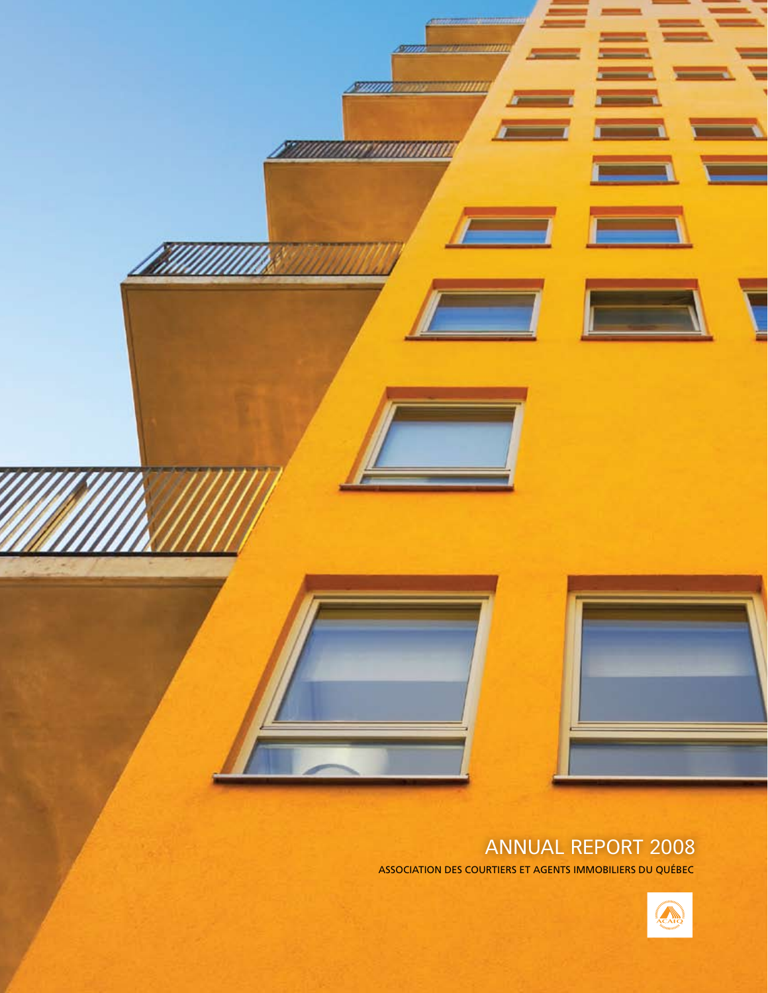

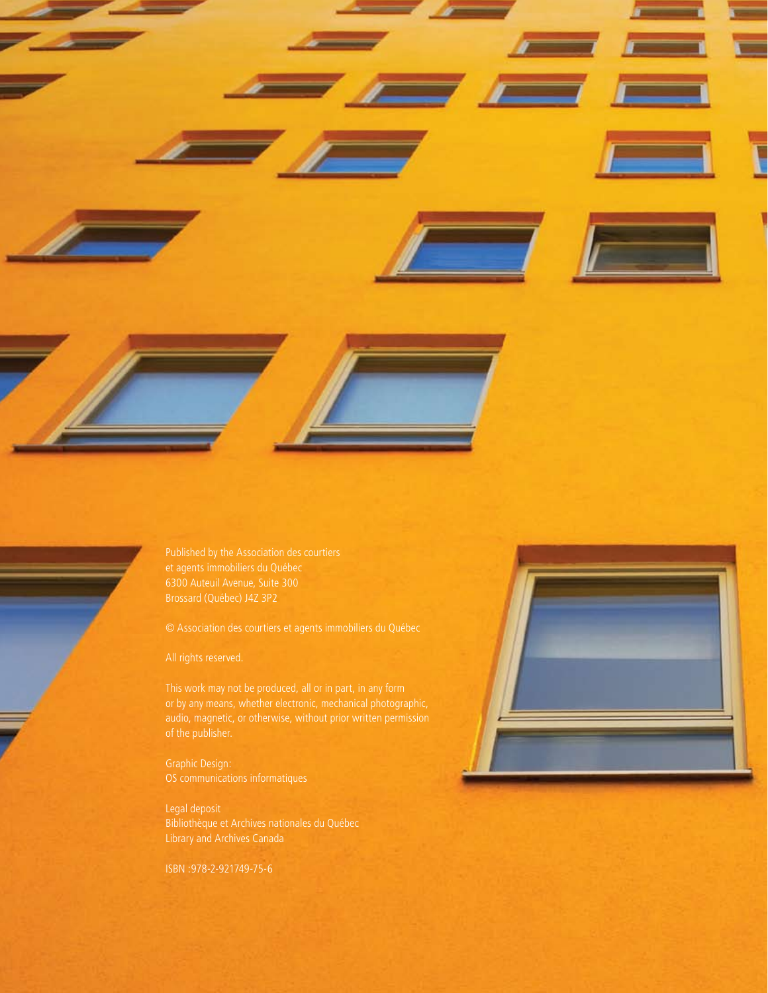

of the publisher.

Legal deposit Bibliothèque et Archives nationales du Québec Library and Archives Canada

ISBN :978-2-921749-75-6

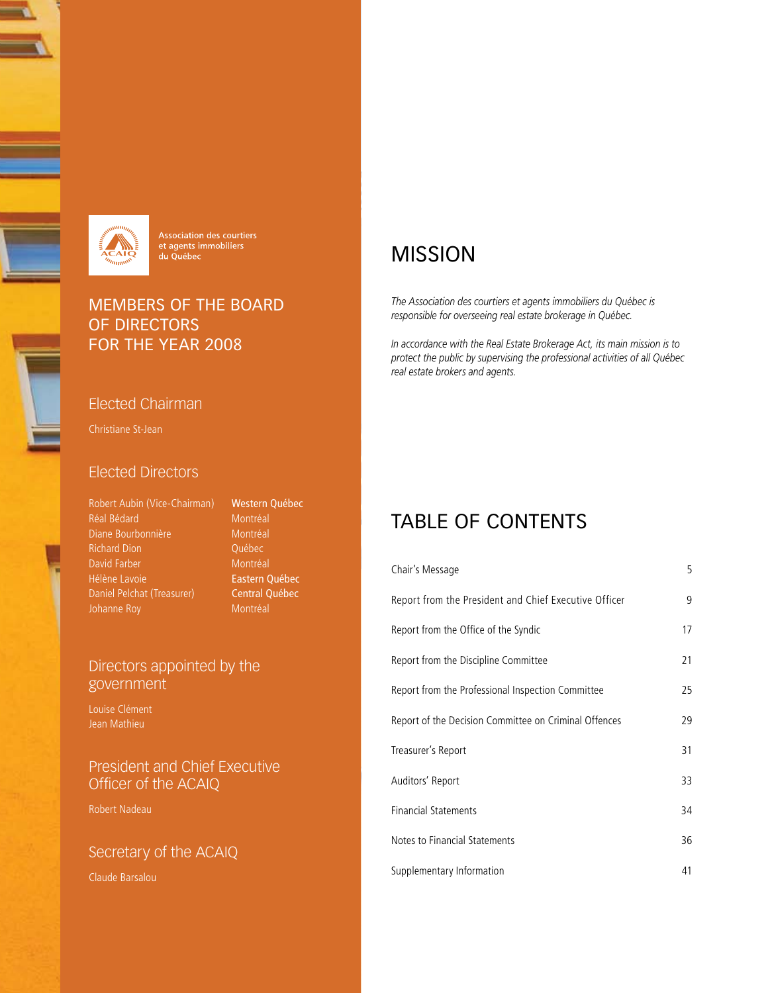

**Association des courtiers** et agents immobiliers<br>du Québec

# MEMBERS OF THE BOARD OF DIRECTORS FOR THE YEAR 2008

### Elected Chairman

Christiane St-Jean

### Elected Directors

Robert Aubin (Vice-Chairman) Western Québec Réal Bédard Montréal Diane Bourbonnière Montréal Richard Dion **Québec** David Farber Montréal Hélène Lavoie **Eastern Québec** Daniel Pelchat (Treasurer) Central Québec Johanne Roy Montréal

### Directors appointed by the government

Louise Clément Jean Mathieu

## President and Chief Executive Officer of the ACAIQ

Robert Nadeau

## Secretary of the ACAIQ

Claude Barsalou

# **MISSION**

*The Association des courtiers et agents immobiliers du Québec is responsible for overseeing real estate brokerage in Québec.*

*In accordance with the Real Estate Brokerage Act, its main mission is to protect the public by supervising the professional activities of all Québec real estate brokers and agents.*

# Table OF CONTENTS

| Chair's Message                                       | 5  |
|-------------------------------------------------------|----|
| Report from the President and Chief Executive Officer | 9  |
| Report from the Office of the Syndic                  | 17 |
| Report from the Discipline Committee                  | 21 |
| Report from the Professional Inspection Committee     | 25 |
| Report of the Decision Committee on Criminal Offences | 29 |
| Treasurer's Report                                    | 31 |
| Auditors' Report                                      | 33 |
| <b>Financial Statements</b>                           | 34 |
| Notes to Financial Statements                         | 36 |
| Supplementary Information                             | 41 |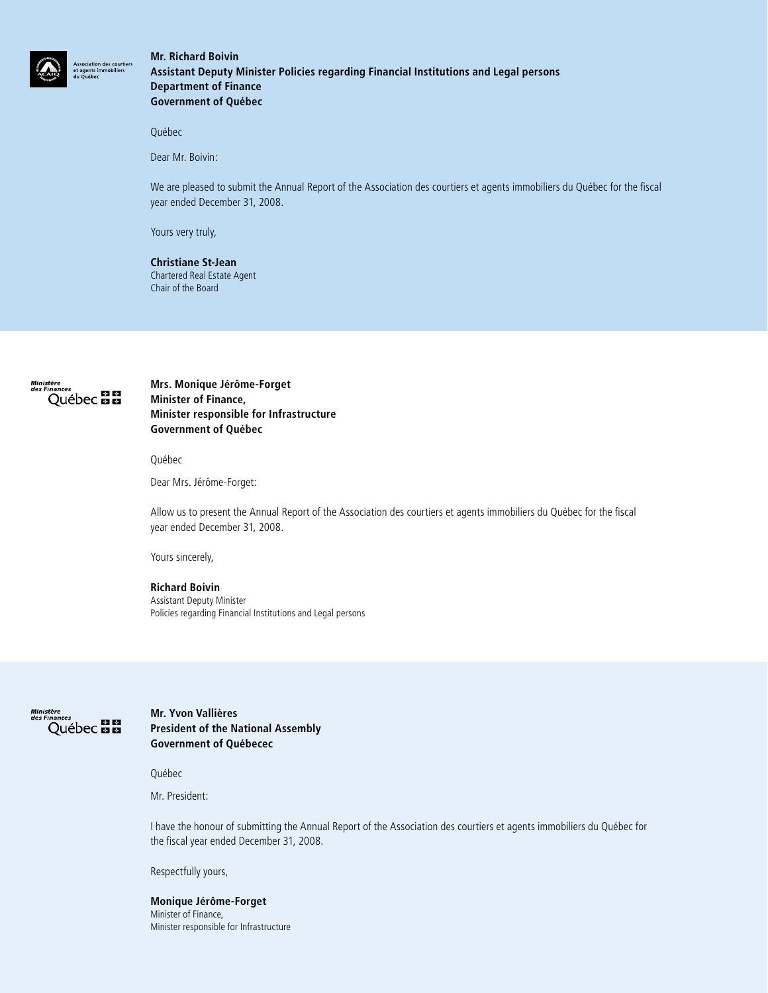

Association des courtiers<br>et agents immobiliers<br>du Québec

### **Mr. Richard Boivin Assistant Deputy Minister Policies regarding Financial Institutions and Legal persons Department of Finance Government of Québec**

Québec

Dear Mr. Boivin:

We are pleased to submit the Annual Report of the Association des courtiers et agents immobiliers du Québec for the fiscal year ended December 31, 2008.

Yours very truly,

#### **Christiane St-Jean**

Chartered Real Estate Agent Chair of the Board



#### **Mrs. Monique Jérôme-Forget Minister of Finance, Minister responsible for Infrastructure Government of Québec**

Québec

Dear Mrs. Jérôme-Forget:

Allow us to present the Annual Report of the Association des courtiers et agents immobiliers du Québec for the fiscal year ended December 31, 2008.

Yours sincerely,

#### **Richard Boivin**

Assistant Deputy Minister Policies regarding Financial Institutions and Legal persons



**Mr. Yvon Vallières President of the National Assembly Government of Québecec**

Québec

Mr. President:

I have the honour of submitting the Annual Report of the Association des courtiers et agents immobiliers du Québec for the fiscal year ended December 31, 2008.

Respectfully yours,

#### **Monique Jérôme-Forget**

Minister of Finance, Minister responsible for Infrastructure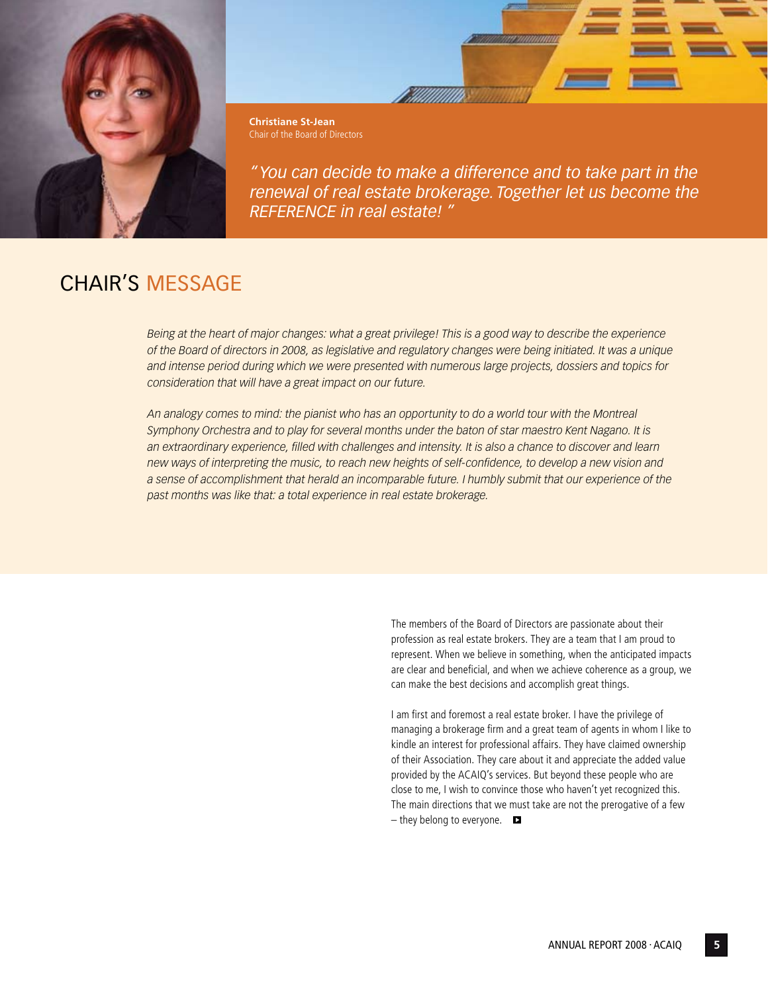

**Christiane St-Jean** Chair of the Board of Directors

*" You can decide to make a difference and to take part in the renewal of real estate brokerage. Together let us become the REFERENCE in real estate! "*

e IIII IIII III II

# CHAIR'S MESSAGE

*Being at the heart of major changes: what a great privilege! This is a good way to describe the experience of the Board of directors in 2008, as legislative and regulatory changes were being initiated. It was a unique and intense period during which we were presented with numerous large projects, dossiers and topics for consideration that will have a great impact on our future.* 

*An analogy comes to mind: the pianist who has an opportunity to do a world tour with the Montreal Symphony Orchestra and to play for several months under the baton of star maestro Kent Nagano. It is an extraordinary experience, filled with challenges and intensity. It is also a chance to discover and learn new ways of interpreting the music, to reach new heights of self-confidence, to develop a new vision and a sense of accomplishment that herald an incomparable future. I humbly submit that our experience of the past months was like that: a total experience in real estate brokerage.*

> The members of the Board of Directors are passionate about their profession as real estate brokers. They are a team that I am proud to represent. When we believe in something, when the anticipated impacts are clear and beneficial, and when we achieve coherence as a group, we can make the best decisions and accomplish great things.

> I am first and foremost a real estate broker. I have the privilege of managing a brokerage firm and a great team of agents in whom I like to kindle an interest for professional affairs. They have claimed ownership of their Association. They care about it and appreciate the added value provided by the ACAIQ's services. But beyond these people who are close to me, I wish to convince those who haven't yet recognized this. The main directions that we must take are not the prerogative of a few  $-$  they belong to everyone.  $\blacksquare$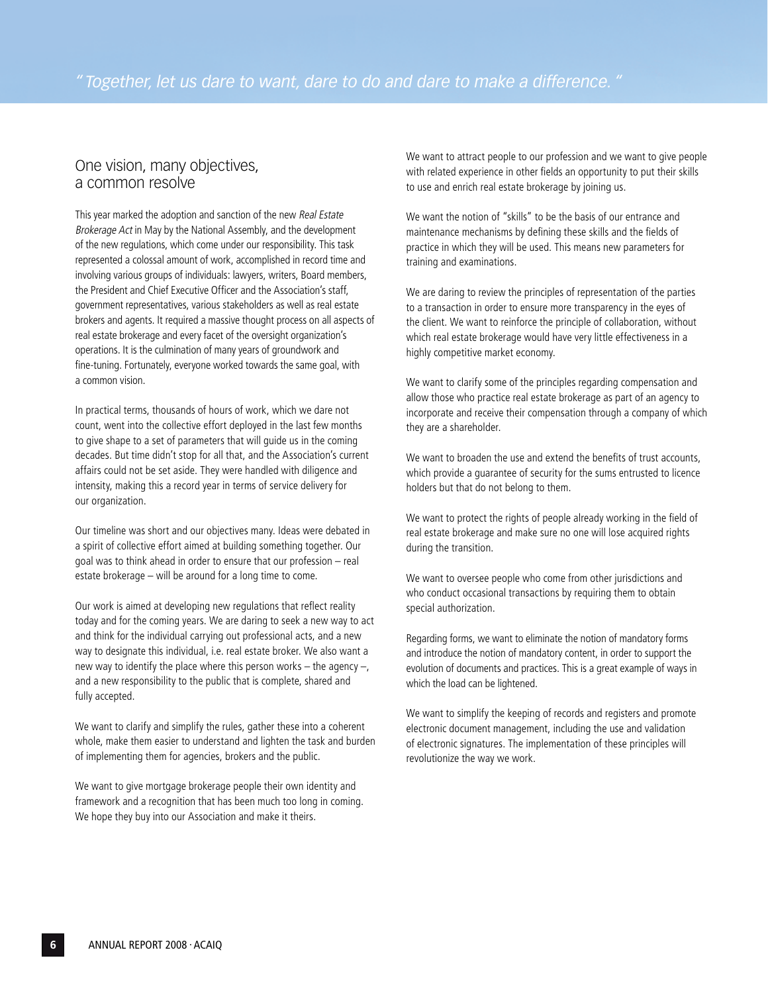### One vision, many objectives, a common resolve

This year marked the adoption and sanction of the new Real Estate Brokerage Act in May by the National Assembly, and the development of the new regulations, which come under our responsibility. This task represented a colossal amount of work, accomplished in record time and involving various groups of individuals: lawyers, writers, Board members, the President and Chief Executive Officer and the Association's staff, government representatives, various stakeholders as well as real estate brokers and agents. It required a massive thought process on all aspects of real estate brokerage and every facet of the oversight organization's operations. It is the culmination of many years of groundwork and fine-tuning. Fortunately, everyone worked towards the same goal, with a common vision.

In practical terms, thousands of hours of work, which we dare not count, went into the collective effort deployed in the last few months to give shape to a set of parameters that will guide us in the coming decades. But time didn't stop for all that, and the Association's current affairs could not be set aside. They were handled with diligence and intensity, making this a record year in terms of service delivery for our organization.

Our timeline was short and our objectives many. Ideas were debated in a spirit of collective effort aimed at building something together. Our goal was to think ahead in order to ensure that our profession – real estate brokerage – will be around for a long time to come.

Our work is aimed at developing new regulations that reflect reality today and for the coming years. We are daring to seek a new way to act and think for the individual carrying out professional acts, and a new way to designate this individual, i.e. real estate broker. We also want a new way to identify the place where this person works  $-$  the agency  $-$ , and a new responsibility to the public that is complete, shared and fully accepted.

We want to clarify and simplify the rules, gather these into a coherent whole, make them easier to understand and lighten the task and burden of implementing them for agencies, brokers and the public.

We want to give mortgage brokerage people their own identity and framework and a recognition that has been much too long in coming. We hope they buy into our Association and make it theirs.

We want to attract people to our profession and we want to give people with related experience in other fields an opportunity to put their skills to use and enrich real estate brokerage by joining us.

We want the notion of "skills" to be the basis of our entrance and maintenance mechanisms by defining these skills and the fields of practice in which they will be used. This means new parameters for training and examinations.

We are daring to review the principles of representation of the parties to a transaction in order to ensure more transparency in the eyes of the client. We want to reinforce the principle of collaboration, without which real estate brokerage would have very little effectiveness in a highly competitive market economy.

We want to clarify some of the principles regarding compensation and allow those who practice real estate brokerage as part of an agency to incorporate and receive their compensation through a company of which they are a shareholder.

We want to broaden the use and extend the benefits of trust accounts. which provide a guarantee of security for the sums entrusted to licence holders but that do not belong to them.

We want to protect the rights of people already working in the field of real estate brokerage and make sure no one will lose acquired rights during the transition.

We want to oversee people who come from other jurisdictions and who conduct occasional transactions by requiring them to obtain special authorization.

Regarding forms, we want to eliminate the notion of mandatory forms and introduce the notion of mandatory content, in order to support the evolution of documents and practices. This is a great example of ways in which the load can be lightened.

We want to simplify the keeping of records and registers and promote electronic document management, including the use and validation of electronic signatures. The implementation of these principles will revolutionize the way we work.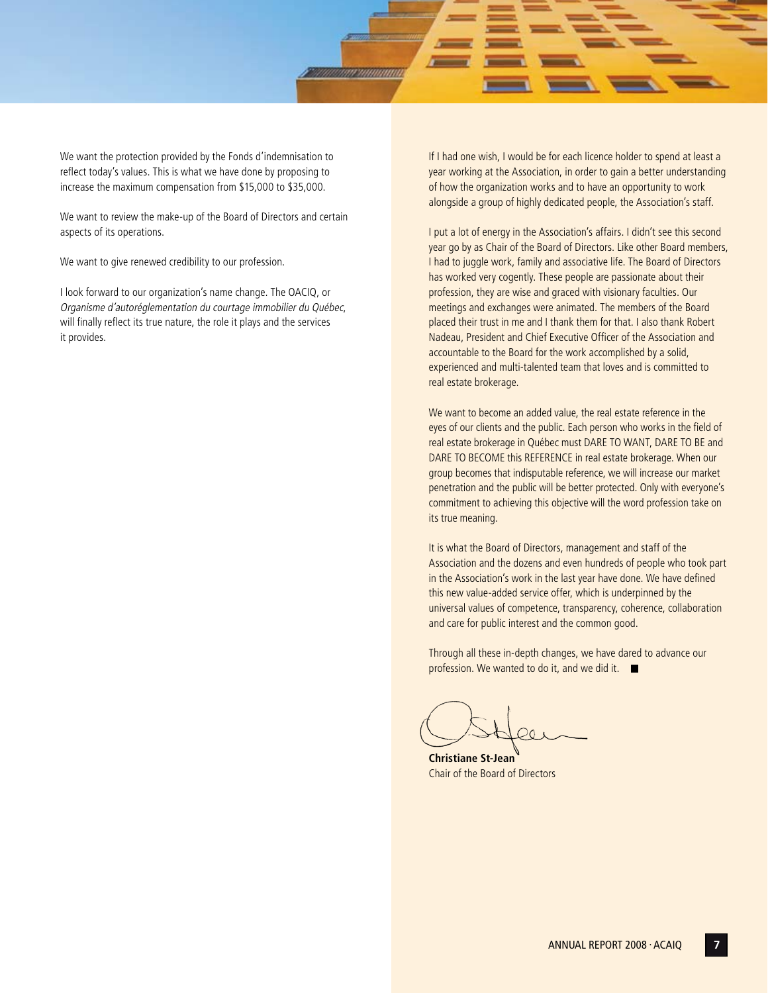We want the protection provided by the Fonds d'indemnisation to reflect today's values. This is what we have done by proposing to increase the maximum compensation from \$15,000 to \$35,000.

We want to review the make-up of the Board of Directors and certain aspects of its operations.

We want to give renewed credibility to our profession.

I look forward to our organization's name change. The OACIQ, or Organisme d'autoréglementation du courtage immobilier du Québec, will finally reflect its true nature, the role it plays and the services it provides.

If I had one wish, I would be for each licence holder to spend at least a year working at the Association, in order to gain a better understanding of how the organization works and to have an opportunity to work alongside a group of highly dedicated people, the Association's staff.

I put a lot of energy in the Association's affairs. I didn't see this second year go by as Chair of the Board of Directors. Like other Board members, I had to juggle work, family and associative life. The Board of Directors has worked very cogently. These people are passionate about their profession, they are wise and graced with visionary faculties. Our meetings and exchanges were animated. The members of the Board placed their trust in me and I thank them for that. I also thank Robert Nadeau, President and Chief Executive Officer of the Association and accountable to the Board for the work accomplished by a solid, experienced and multi-talented team that loves and is committed to real estate brokerage.

We want to become an added value, the real estate reference in the eyes of our clients and the public. Each person who works in the field of real estate brokerage in Québec must DARE TO WANT, DARE TO BE and DARE TO BECOME this REFERENCE in real estate brokerage. When our group becomes that indisputable reference, we will increase our market penetration and the public will be better protected. Only with everyone's commitment to achieving this objective will the word profession take on its true meaning.

It is what the Board of Directors, management and staff of the Association and the dozens and even hundreds of people who took part in the Association's work in the last year have done. We have defined this new value-added service offer, which is underpinned by the universal values of competence, transparency, coherence, collaboration and care for public interest and the common good.

Through all these in-depth changes, we have dared to advance our profession. We wanted to do it, and we did it.

**Christiane St-Jean** Chair of the Board of Directors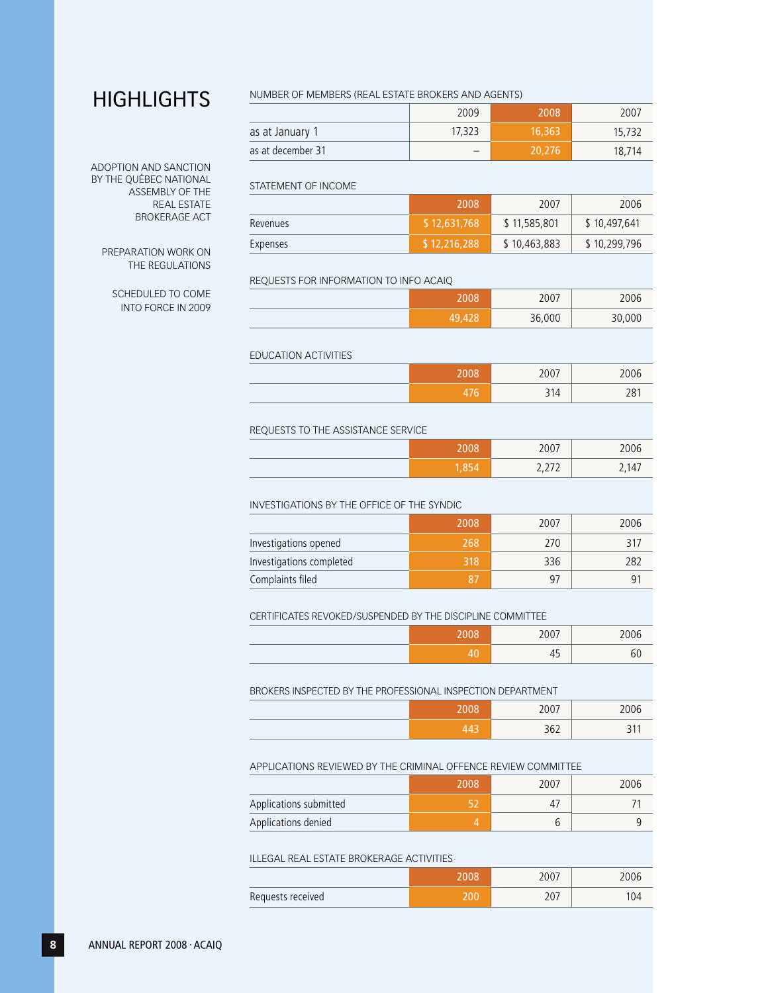# **HIGHLIGHTS**

#### Number of members (real estate brokers and agents)

|                   | 2009              | 2008   | 2007   |
|-------------------|-------------------|--------|--------|
| as at January 1   | 17,323            | 16,363 | 15.732 |
| as at december 31 | $\qquad \qquad -$ | 20,276 | 18.714 |

Adoption and sanction by the Québec National Assembly of the Real Estate Brokerage Act

Preparation work on the Regulations

SCHEDULED TO COME into force in 2009

STATEMENT OF INCOME

|          | 2008.        | 2007         | ZUU6         |
|----------|--------------|--------------|--------------|
| Revenues | \$12,631,768 | \$11,585,801 | \$10,497,641 |
| Expenses | \$12,216,288 | \$10,463,883 | \$10,299,796 |

 $2007$  2006

#### Requests for information to INFO ACAIQ

| 2008   | 2007   | 2006   |
|--------|--------|--------|
| 49,428 | 36,000 | 30,000 |

### Education activities

| 2008 | 2007 | 2006 |
|------|------|------|
| 476  | 314  | 281  |

#### Requests to the Assistance Service

| 2008 | 2007        | 2006  |
|------|-------------|-------|
| 854, | רר<br>2,212 | 2,147 |

#### Investigations by the Office of the Syndic

|                          | 2008 | 2007 | 2006 |
|--------------------------|------|------|------|
| Investigations opened    | 268  | 270  | 317  |
| Investigations completed | 318  | 336  | 282  |
| Complaints filed         |      | q.   |      |

#### Certificates revoked/suspended by the Discipline Committee

| 2008 | 2007         | 2006 |
|------|--------------|------|
|      | $\sim$<br>45 | 60   |

#### BROKERS INSPECTED BY THE PROFESSIONAL INSPECTION DEPARTMENT

| 2008       | 2007 | 2006 |
|------------|------|------|
| . –<br>443 | 362  | ◡    |

Applications reviewed by the Criminal Offence Review Committee

|                        | 2008 | 2007 | 2006 |
|------------------------|------|------|------|
| Applications submitted |      |      |      |
| Applications denied    |      |      |      |

#### Illegal real estate brokerage activities

|                   | 2008 | 2007 | 2006 |
|-------------------|------|------|------|
| Requests received | 200  | 207  | 104  |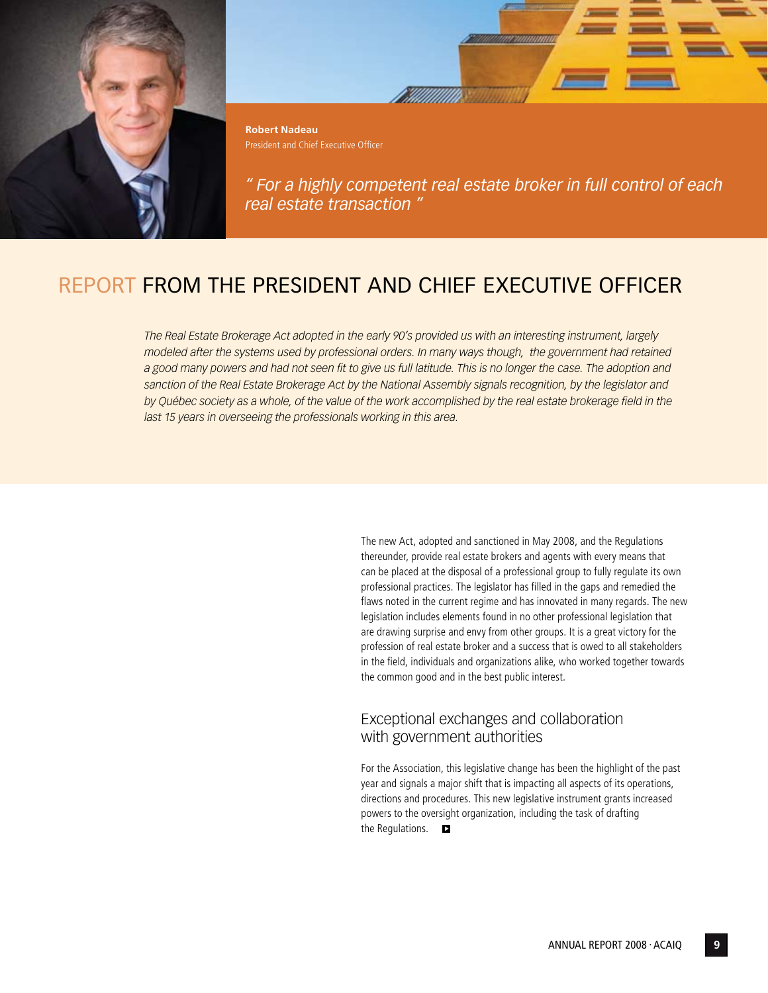

**Robert Nadeau** President and Chief Executive Officer

*" For a highly competent real estate broker in full control of each real estate transaction "*

# REPORT FROM THE PRESIDENT AND CHIEF EXECUTIVE OFFICER

*The Real Estate Brokerage Act adopted in the early 90's provided us with an interesting instrument, largely modeled after the systems used by professional orders. In many ways though, the government had retained a good many powers and had not seen fit to give us full latitude. This is no longer the case. The adoption and sanction of the Real Estate Brokerage Act by the National Assembly signals recognition, by the legislator and by Québec society as a whole, of the value of the work accomplished by the real estate brokerage field in the last 15 years in overseeing the professionals working in this area.*

> The new Act, adopted and sanctioned in May 2008, and the Regulations thereunder, provide real estate brokers and agents with every means that can be placed at the disposal of a professional group to fully regulate its own professional practices. The legislator has filled in the gaps and remedied the flaws noted in the current regime and has innovated in many regards. The new legislation includes elements found in no other professional legislation that are drawing surprise and envy from other groups. It is a great victory for the profession of real estate broker and a success that is owed to all stakeholders in the field, individuals and organizations alike, who worked together towards the common good and in the best public interest.

### Exceptional exchanges and collaboration with government authorities

For the Association, this legislative change has been the highlight of the past year and signals a major shift that is impacting all aspects of its operations, directions and procedures. This new legislative instrument grants increased powers to the oversight organization, including the task of drafting the Regulations.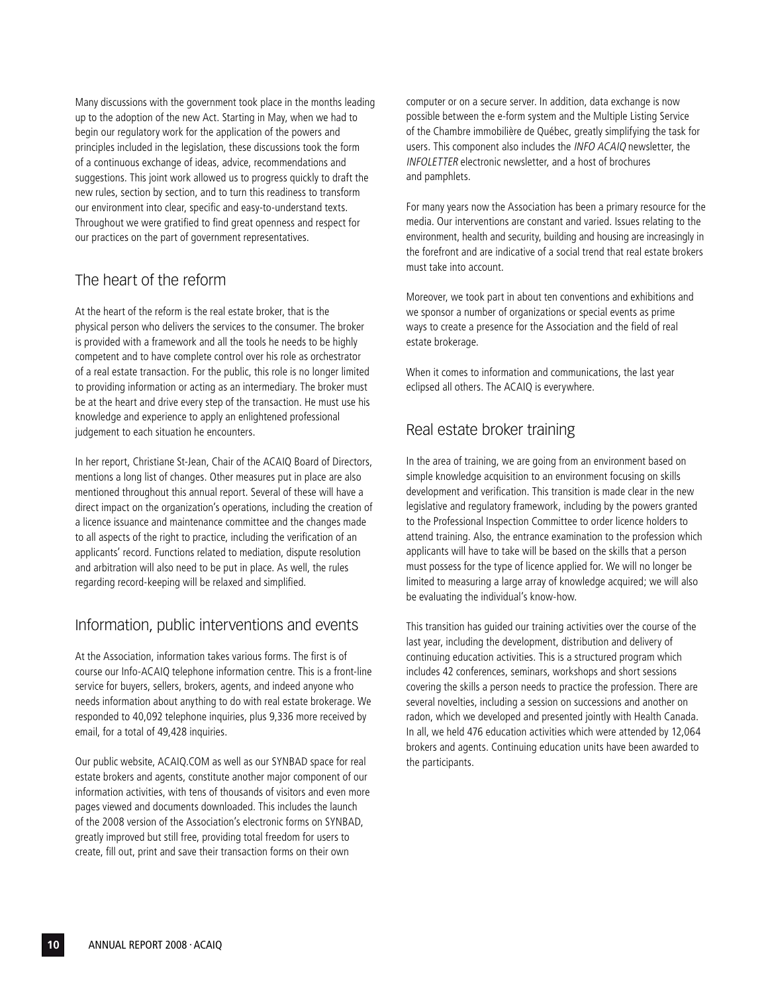Many discussions with the government took place in the months leading up to the adoption of the new Act. Starting in May, when we had to begin our regulatory work for the application of the powers and principles included in the legislation, these discussions took the form of a continuous exchange of ideas, advice, recommendations and suggestions. This joint work allowed us to progress quickly to draft the new rules, section by section, and to turn this readiness to transform our environment into clear, specific and easy-to-understand texts. Throughout we were gratified to find great openness and respect for our practices on the part of government representatives.

## The heart of the reform

At the heart of the reform is the real estate broker, that is the physical person who delivers the services to the consumer. The broker is provided with a framework and all the tools he needs to be highly competent and to have complete control over his role as orchestrator of a real estate transaction. For the public, this role is no longer limited to providing information or acting as an intermediary. The broker must be at the heart and drive every step of the transaction. He must use his knowledge and experience to apply an enlightened professional judgement to each situation he encounters.

In her report, Christiane St-Jean, Chair of the ACAIQ Board of Directors, mentions a long list of changes. Other measures put in place are also mentioned throughout this annual report. Several of these will have a direct impact on the organization's operations, including the creation of a licence issuance and maintenance committee and the changes made to all aspects of the right to practice, including the verification of an applicants' record. Functions related to mediation, dispute resolution and arbitration will also need to be put in place. As well, the rules regarding record-keeping will be relaxed and simplified.

### Information, public interventions and events

At the Association, information takes various forms. The first is of course our Info-ACAIQ telephone information centre. This is a front-line service for buyers, sellers, brokers, agents, and indeed anyone who needs information about anything to do with real estate brokerage. We responded to 40,092 telephone inquiries, plus 9,336 more received by email, for a total of 49,428 inquiries.

Our public website, ACAIQ.COM as well as our SYNBAD space for real estate brokers and agents, constitute another major component of our information activities, with tens of thousands of visitors and even more pages viewed and documents downloaded. This includes the launch of the 2008 version of the Association's electronic forms on SYNBAD, greatly improved but still free, providing total freedom for users to create, fill out, print and save their transaction forms on their own

computer or on a secure server. In addition, data exchange is now possible between the e-form system and the Multiple Listing Service of the Chambre immobilière de Québec, greatly simplifying the task for users. This component also includes the INFO ACAIQ newsletter, the INFOLETTER electronic newsletter, and a host of brochures and pamphlets.

For many years now the Association has been a primary resource for the media. Our interventions are constant and varied. Issues relating to the environment, health and security, building and housing are increasingly in the forefront and are indicative of a social trend that real estate brokers must take into account.

Moreover, we took part in about ten conventions and exhibitions and we sponsor a number of organizations or special events as prime ways to create a presence for the Association and the field of real estate brokerage.

When it comes to information and communications, the last year eclipsed all others. The ACAIQ is everywhere.

## Real estate broker training

In the area of training, we are going from an environment based on simple knowledge acquisition to an environment focusing on skills development and verification. This transition is made clear in the new legislative and regulatory framework, including by the powers granted to the Professional Inspection Committee to order licence holders to attend training. Also, the entrance examination to the profession which applicants will have to take will be based on the skills that a person must possess for the type of licence applied for. We will no longer be limited to measuring a large array of knowledge acquired; we will also be evaluating the individual's know-how.

This transition has guided our training activities over the course of the last year, including the development, distribution and delivery of continuing education activities. This is a structured program which includes 42 conferences, seminars, workshops and short sessions covering the skills a person needs to practice the profession. There are several novelties, including a session on successions and another on radon, which we developed and presented jointly with Health Canada. In all, we held 476 education activities which were attended by 12,064 brokers and agents. Continuing education units have been awarded to the participants.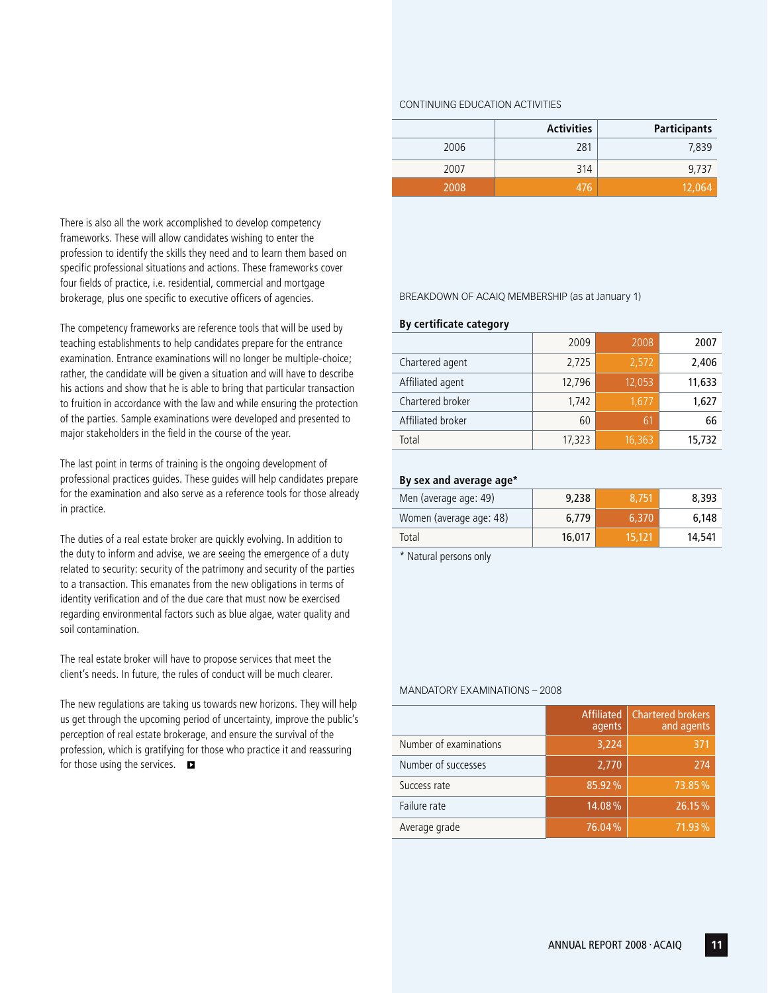There is also all the work accomplished to develop competency frameworks. These will allow candidates wishing to enter the profession to identify the skills they need and to learn them based on specific professional situations and actions. These frameworks cover four fields of practice, i.e. residential, commercial and mortgage brokerage, plus one specific to executive officers of agencies.

The competency frameworks are reference tools that will be used by teaching establishments to help candidates prepare for the entrance examination. Entrance examinations will no longer be multiple-choice; rather, the candidate will be given a situation and will have to describe his actions and show that he is able to bring that particular transaction to fruition in accordance with the law and while ensuring the protection of the parties. Sample examinations were developed and presented to major stakeholders in the field in the course of the year.

The last point in terms of training is the ongoing development of professional practices guides. These guides will help candidates prepare for the examination and also serve as a reference tools for those already in practice.

The duties of a real estate broker are quickly evolving. In addition to the duty to inform and advise, we are seeing the emergence of a duty related to security: security of the patrimony and security of the parties to a transaction. This emanates from the new obligations in terms of identity verification and of the due care that must now be exercised regarding environmental factors such as blue algae, water quality and soil contamination.

The real estate broker will have to propose services that meet the client's needs. In future, the rules of conduct will be much clearer.

The new regulations are taking us towards new horizons. They will help us get through the upcoming period of uncertainty, improve the public's perception of real estate brokerage, and ensure the survival of the profession, which is gratifying for those who practice it and reassuring for those using the services.  $\Box$ 

#### Continuing education activities

|      | <b>Activities</b> | <b>Participants</b> |
|------|-------------------|---------------------|
| 2006 | 281               | 7,839               |
| 2007 | 314               | 9,737               |
| 2008 | 476               | 12,064              |

#### Breakdown of ACAIQ membership (as at January 1)

#### **By certificate category**

|                   | 2009   | 2008   | 2007   |
|-------------------|--------|--------|--------|
| Chartered agent   | 2,725  | 2,572  | 2,406  |
| Affiliated agent  | 12,796 | 12,053 | 11,633 |
| Chartered broker  | 1.742  | 1.677  | 1,627  |
| Affiliated broker | 60     | 61     | 66     |
| Total             | 17,323 | 16,363 | 15,732 |

#### **By sex and average age\***

| Men (average age: 49)   | 9,238  | 8.751  | 8.393  |
|-------------------------|--------|--------|--------|
| Women (average age: 48) | 6.779  | 6.370  | 6.148  |
| Total                   | 16,017 | 15.121 | 14,541 |

\* Natural persons only

#### Mandatory examinations – 2008

|                        | <b>Affiliated</b><br>agents | <b>Chartered brokers</b><br>and agents |
|------------------------|-----------------------------|----------------------------------------|
| Number of examinations | 3,224                       | 371                                    |
| Number of successes    | 2,770                       | 274                                    |
| Success rate           | 85.92%                      | 73.85%                                 |
| Failure rate           | 14.08%                      | 26.15%                                 |
| Average grade          | 76.04%                      | 71.93%                                 |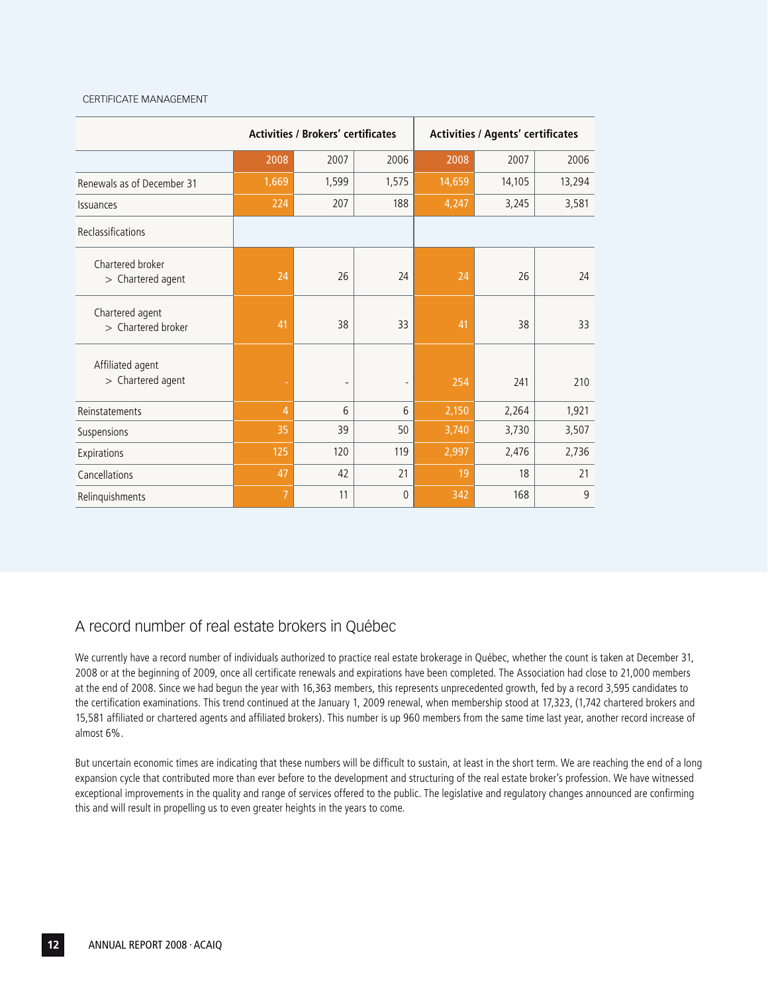#### Certificate management

|                                         | <b>Activities / Brokers' certificates</b> |                          | <b>Activities / Agents' certificates</b> |        |        |        |
|-----------------------------------------|-------------------------------------------|--------------------------|------------------------------------------|--------|--------|--------|
|                                         | $\frac{2008}{2000}$                       | 2007                     | 2006                                     | 2008   | 2007   | 2006   |
| Renewals as of December 31              | 1,669                                     | 1,599                    | 1,575                                    | 14,659 | 14,105 | 13,294 |
| <b>Issuances</b>                        | 224                                       | 207                      | 188                                      | 4,247  | 3,245  | 3,581  |
| Reclassifications                       |                                           |                          |                                          |        |        |        |
| Chartered broker<br>> Chartered agent   | 24                                        | 26                       | 24                                       | 24     | 26     | 24     |
| Chartered agent<br>$>$ Chartered broker | 41                                        | 38                       | 33                                       | 41     | 38     | 33     |
| Affiliated agent<br>> Chartered agent   | ÷                                         | $\overline{\phantom{0}}$ | $\overline{a}$                           | 254    | 241    | 210    |
| Reinstatements                          | $\overline{4}$                            | 6                        | 6                                        | 2,150  | 2,264  | 1,921  |
| Suspensions                             | 35                                        | 39                       | 50                                       | 3,740  | 3,730  | 3,507  |
| Expirations                             | 125                                       | 120                      | 119                                      | 2,997  | 2,476  | 2,736  |
| Cancellations                           | 47                                        | 42                       | 21                                       | 19     | 18     | 21     |
| Relinquishments                         | $\overline{7}$                            | 11                       | $\theta$                                 | 342    | 168    | 9      |

# A record number of real estate brokers in Québec

We currently have a record number of individuals authorized to practice real estate brokerage in Québec, whether the count is taken at December 31, 2008 or at the beginning of 2009, once all certificate renewals and expirations have been completed. The Association had close to 21,000 members at the end of 2008. Since we had begun the year with 16,363 members, this represents unprecedented growth, fed by a record 3,595 candidates to the certification examinations. This trend continued at the January 1, 2009 renewal, when membership stood at 17,323, (1,742 chartered brokers and 15,581 affiliated or chartered agents and affiliated brokers). This number is up 960 members from the same time last year, another record increase of almost 6%.

But uncertain economic times are indicating that these numbers will be difficult to sustain, at least in the short term. We are reaching the end of a long expansion cycle that contributed more than ever before to the development and structuring of the real estate broker's profession. We have witnessed exceptional improvements in the quality and range of services offered to the public. The legislative and regulatory changes announced are confirming this and will result in propelling us to even greater heights in the years to come.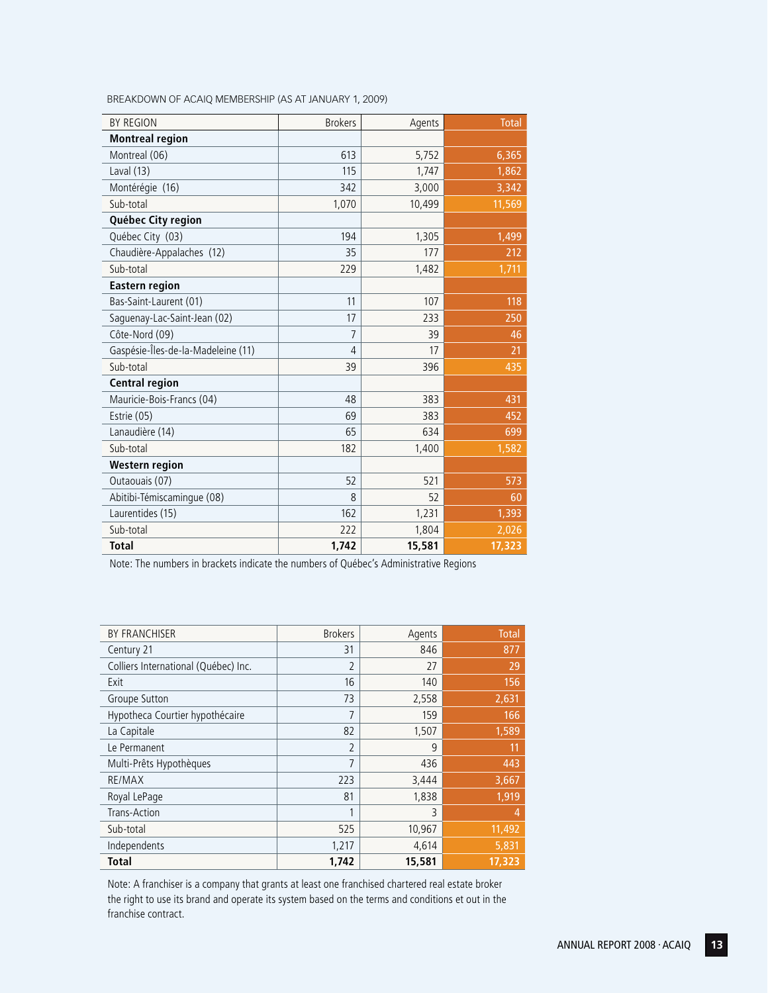| <b>BY REGION</b>                   | <b>Brokers</b> | Agents | Total  |
|------------------------------------|----------------|--------|--------|
| <b>Montreal region</b>             |                |        |        |
| Montreal (06)                      | 613            | 5,752  | 6,365  |
| Laval (13)                         | 115            | 1,747  | 1,862  |
| Montérégie (16)                    | 342            | 3,000  | 3,342  |
| Sub-total                          | 1,070          | 10,499 | 11,569 |
| Québec City region                 |                |        |        |
| Québec City (03)                   | 194            | 1,305  | 1,499  |
| Chaudière-Appalaches (12)          | 35             | 177    | 212    |
| Sub-total                          | 229            | 1,482  | 1,711  |
| <b>Eastern region</b>              |                |        |        |
| Bas-Saint-Laurent (01)             | 11             | 107    | 118    |
| Saguenay-Lac-Saint-Jean (02)       | 17             | 233    | 250    |
| Côte-Nord (09)                     | $\overline{7}$ | 39     | 46     |
| Gaspésie-Îles-de-la-Madeleine (11) | $\overline{4}$ | 17     | 21     |
| Sub-total                          | 39             | 396    | 435    |
| <b>Central region</b>              |                |        |        |
| Mauricie-Bois-Francs (04)          | 48             | 383    | 431    |
| Estrie (05)                        | 69             | 383    | 452    |
| Lanaudière (14)                    | 65             | 634    | 699    |
| Sub-total                          | 182            | 1,400  | 1,582  |
| <b>Western region</b>              |                |        |        |
| Outaouais (07)                     | 52             | 521    | 573    |
| Abitibi-Témiscamingue (08)         | 8              | 52     | 60     |
| Laurentides (15)                   | 162            | 1,231  | 1,393  |
| Sub-total                          | 222            | 1,804  | 2,026  |
| <b>Total</b>                       | 1,742          | 15,581 | 17,323 |

Breakdown of ACAIQ membership (as at January 1, 2009)

Note: The numbers in brackets indicate the numbers of Québec's Administrative Regions

| <b>BY FRANCHISER</b>                 | <b>Brokers</b> | Agents | Total  |
|--------------------------------------|----------------|--------|--------|
| Century 21                           | 31             | 846    | 877    |
| Colliers International (Québec) Inc. | $\overline{2}$ | 27     | 29     |
| Exit                                 | 16             | 140    | 156    |
| Groupe Sutton                        | 73             | 2,558  | 2,631  |
| Hypotheca Courtier hypothécaire      | 7              | 159    | 166    |
| La Capitale                          | 82             | 1,507  | 1,589  |
| Le Permanent                         | $\overline{2}$ | 9      | 11     |
| Multi-Prêts Hypothèques              | $\overline{7}$ | 436    | 443    |
| RE/MAX                               | 223            | 3,444  | 3,667  |
| Royal LePage                         | 81             | 1,838  | 1,919  |
| Trans-Action                         |                | 3      | 4      |
| Sub-total                            | 525            | 10,967 | 11,492 |
| Independents                         | 1,217          | 4,614  | 5,831  |
| Total                                | 1,742          | 15,581 | 17,323 |

Note: A franchiser is a company that grants at least one franchised chartered real estate broker the right to use its brand and operate its system based on the terms and conditions et out in the franchise contract.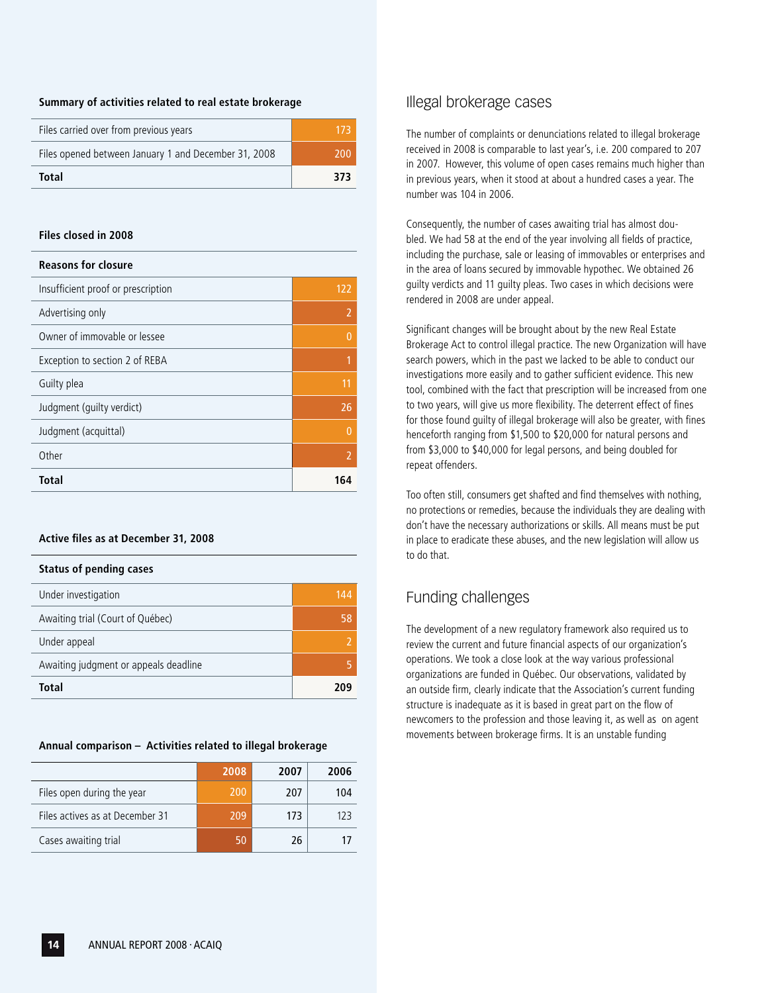#### **Summary of activities related to real estate brokerage**

| Files carried over from previous years               | -173 |
|------------------------------------------------------|------|
| Files opened between January 1 and December 31, 2008 | 200  |
| <b>Total</b>                                         | 373  |

#### **Files closed in 2008**

|  | <b>Reasons for closure</b> |  |  |  |
|--|----------------------------|--|--|--|
|--|----------------------------|--|--|--|

| Insufficient proof or prescription | 122            |
|------------------------------------|----------------|
| Advertising only                   | $\overline{2}$ |
| Owner of immovable or lessee       | $\Omega$       |
| Exception to section 2 of REBA     | 1              |
| Guilty plea                        | 11             |
| Judgment (quilty verdict)          | 26             |
| Judgment (acquittal)               | $\Omega$       |
| Other                              | $\overline{2}$ |
| <b>Total</b>                       | 164            |

#### **Active files as at December 31, 2008**

#### **Status of pending cases**

| Under investigation                   |     |
|---------------------------------------|-----|
| Awaiting trial (Court of Québec)      | 58  |
| Under appeal                          |     |
| Awaiting judgment or appeals deadline |     |
| Total                                 | 209 |

#### **Annual comparison – Activities related to illegal brokerage**

|                                 | 2008 | 2007 | 2006 |
|---------------------------------|------|------|------|
| Files open during the year      | 200  | 207  | 104  |
| Files actives as at December 31 | 209  | 173  | 123  |
| Cases awaiting trial            | 50   | 26   | 17   |

### Illegal brokerage cases

The number of complaints or denunciations related to illegal brokerage received in 2008 is comparable to last year's, i.e. 200 compared to 207 in 2007. However, this volume of open cases remains much higher than in previous years, when it stood at about a hundred cases a year. The number was 104 in 2006.

Consequently, the number of cases awaiting trial has almost doubled. We had 58 at the end of the year involving all fields of practice, including the purchase, sale or leasing of immovables or enterprises and in the area of loans secured by immovable hypothec. We obtained 26 guilty verdicts and 11 guilty pleas. Two cases in which decisions were rendered in 2008 are under appeal.

Significant changes will be brought about by the new Real Estate Brokerage Act to control illegal practice. The new Organization will have search powers, which in the past we lacked to be able to conduct our investigations more easily and to gather sufficient evidence. This new tool, combined with the fact that prescription will be increased from one to two years, will give us more flexibility. The deterrent effect of fines for those found guilty of illegal brokerage will also be greater, with fines henceforth ranging from \$1,500 to \$20,000 for natural persons and from \$3,000 to \$40,000 for legal persons, and being doubled for repeat offenders.

Too often still, consumers get shafted and find themselves with nothing, no protections or remedies, because the individuals they are dealing with don't have the necessary authorizations or skills. All means must be put in place to eradicate these abuses, and the new legislation will allow us to do that.

### Funding challenges

The development of a new regulatory framework also required us to review the current and future financial aspects of our organization's operations. We took a close look at the way various professional organizations are funded in Québec. Our observations, validated by an outside firm, clearly indicate that the Association's current funding structure is inadequate as it is based in great part on the flow of newcomers to the profession and those leaving it, as well as on agent movements between brokerage firms. It is an unstable funding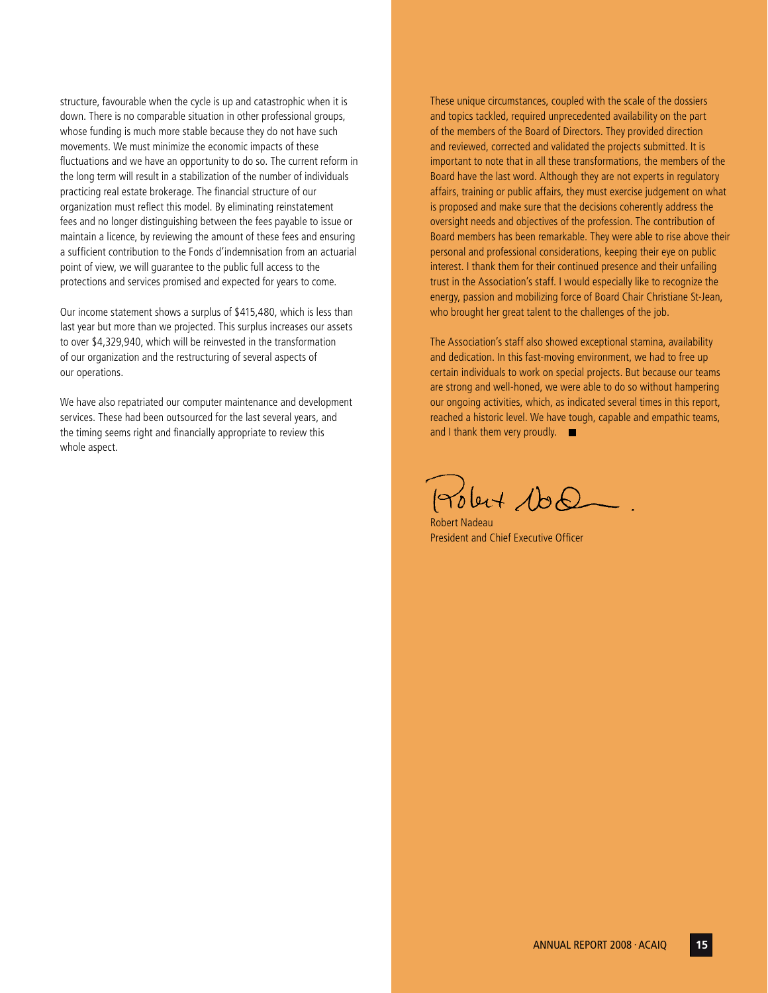structure, favourable when the cycle is up and catastrophic when it is down. There is no comparable situation in other professional groups, whose funding is much more stable because they do not have such movements. We must minimize the economic impacts of these fluctuations and we have an opportunity to do so. The current reform in the long term will result in a stabilization of the number of individuals practicing real estate brokerage. The financial structure of our organization must reflect this model. By eliminating reinstatement fees and no longer distinguishing between the fees payable to issue or maintain a licence, by reviewing the amount of these fees and ensuring a sufficient contribution to the Fonds d'indemnisation from an actuarial point of view, we will guarantee to the public full access to the protections and services promised and expected for years to come.

Our income statement shows a surplus of \$415,480, which is less than last year but more than we projected. This surplus increases our assets to over \$4,329,940, which will be reinvested in the transformation of our organization and the restructuring of several aspects of our operations.

We have also repatriated our computer maintenance and development services. These had been outsourced for the last several years, and the timing seems right and financially appropriate to review this whole aspect.

These unique circumstances, coupled with the scale of the dossiers and topics tackled, required unprecedented availability on the part of the members of the Board of Directors. They provided direction and reviewed, corrected and validated the projects submitted. It is important to note that in all these transformations, the members of the Board have the last word. Although they are not experts in regulatory affairs, training or public affairs, they must exercise judgement on what is proposed and make sure that the decisions coherently address the oversight needs and objectives of the profession. The contribution of Board members has been remarkable. They were able to rise above their personal and professional considerations, keeping their eye on public interest. I thank them for their continued presence and their unfailing trust in the Association's staff. I would especially like to recognize the energy, passion and mobilizing force of Board Chair Christiane St-Jean, who brought her great talent to the challenges of the job.

The Association's staff also showed exceptional stamina, availability and dedication. In this fast-moving environment, we had to free up certain individuals to work on special projects. But because our teams are strong and well-honed, we were able to do so without hampering our ongoing activities, which, as indicated several times in this report, reached a historic level. We have tough, capable and empathic teams, and I thank them very proudly.

Polent 160

Robert Nadeau President and Chief Executive Officer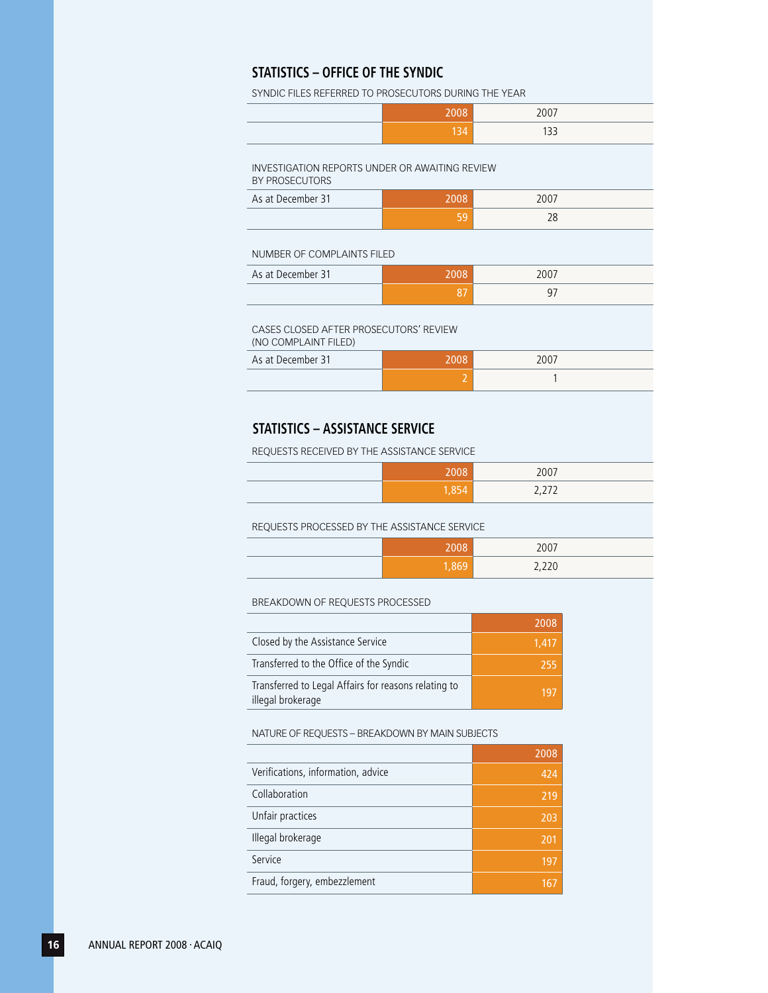### **STATISTICS – OFFICE OF THE SYNDIC**

Syndic files referred to prosecutors during the year

|                                                                                     | 2008 | 2007 |  |
|-------------------------------------------------------------------------------------|------|------|--|
|                                                                                     | 134  | 133  |  |
| INVESTIGATION REPORTS UNDER OR AWAITING REVIEW<br>BY PROSECUTORS                    |      |      |  |
| As at December 31                                                                   | 2008 | 2007 |  |
|                                                                                     | 59   | 28   |  |
| NUMBER OF COMPLAINTS FILED<br>As at December 31                                     | 2008 | 2007 |  |
|                                                                                     | 87   | 97   |  |
| CASES CLOSED AFTER PROSECUTORS' REVIEW<br>(NO COMPLAINT FILED)<br>As at December 31 |      | 2007 |  |
|                                                                                     | 2008 |      |  |

### **STATISTICS – ASSISTANCE SERVICE**

Requests received by the Assistance Service

|  | 2007                |  |
|--|---------------------|--|
|  | CCCC<br>$L_1L_2L_1$ |  |

Requests processed by the Assistance Service

| 2008   | 2007  |  |
|--------|-------|--|
| 1,869' | 2,220 |  |

Breakdown of requests processed

|                                                                           | 2008  |
|---------------------------------------------------------------------------|-------|
| Closed by the Assistance Service                                          | 1.417 |
| Transferred to the Office of the Syndic                                   | 255   |
| Transferred to Legal Affairs for reasons relating to<br>illegal brokerage | 1Q)   |

Nature of requests – Breakdown by main subjects

|                                    | 2008 |
|------------------------------------|------|
| Verifications, information, advice |      |
| Collaboration                      | 219  |
| Unfair practices                   | 203  |
| Illegal brokerage                  |      |
| Service                            |      |
| Fraud, forgery, embezzlement       |      |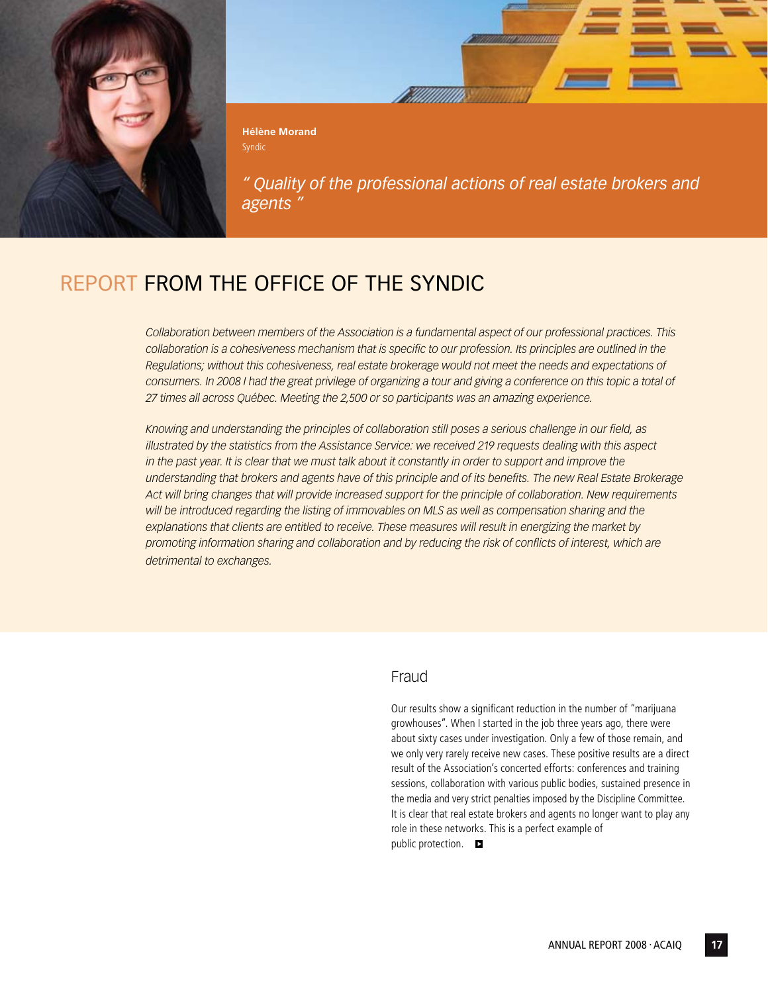

**Hélène Morand**

*" Quality of the professional actions of real estate brokers and agents "*

e Millillilli

# Report from the Office of the Syndic

*Collaboration between members of the Association is a fundamental aspect of our professional practices. This collaboration is a cohesiveness mechanism that is specific to our profession. Its principles are outlined in the Regulations; without this cohesiveness, real estate brokerage would not meet the needs and expectations of consumers. In 2008 I had the great privilege of organizing a tour and giving a conference on this topic a total of 27 times all across Québec. Meeting the 2,500 or so participants was an amazing experience.*

*Knowing and understanding the principles of collaboration still poses a serious challenge in our field, as illustrated by the statistics from the Assistance Service: we received 219 requests dealing with this aspect in the past year. It is clear that we must talk about it constantly in order to support and improve the understanding that brokers and agents have of this principle and of its benefits. The new Real Estate Brokerage Act will bring changes that will provide increased support for the principle of collaboration. New requirements will be introduced regarding the listing of immovables on MLS as well as compensation sharing and the explanations that clients are entitled to receive. These measures will result in energizing the market by promoting information sharing and collaboration and by reducing the risk of conflicts of interest, which are detrimental to exchanges.* 

### Fraud

Our results show a significant reduction in the number of "marijuana growhouses". When I started in the job three years ago, there were about sixty cases under investigation. Only a few of those remain, and we only very rarely receive new cases. These positive results are a direct result of the Association's concerted efforts: conferences and training sessions, collaboration with various public bodies, sustained presence in the media and very strict penalties imposed by the Discipline Committee. It is clear that real estate brokers and agents no longer want to play any role in these networks. This is a perfect example of public protection. D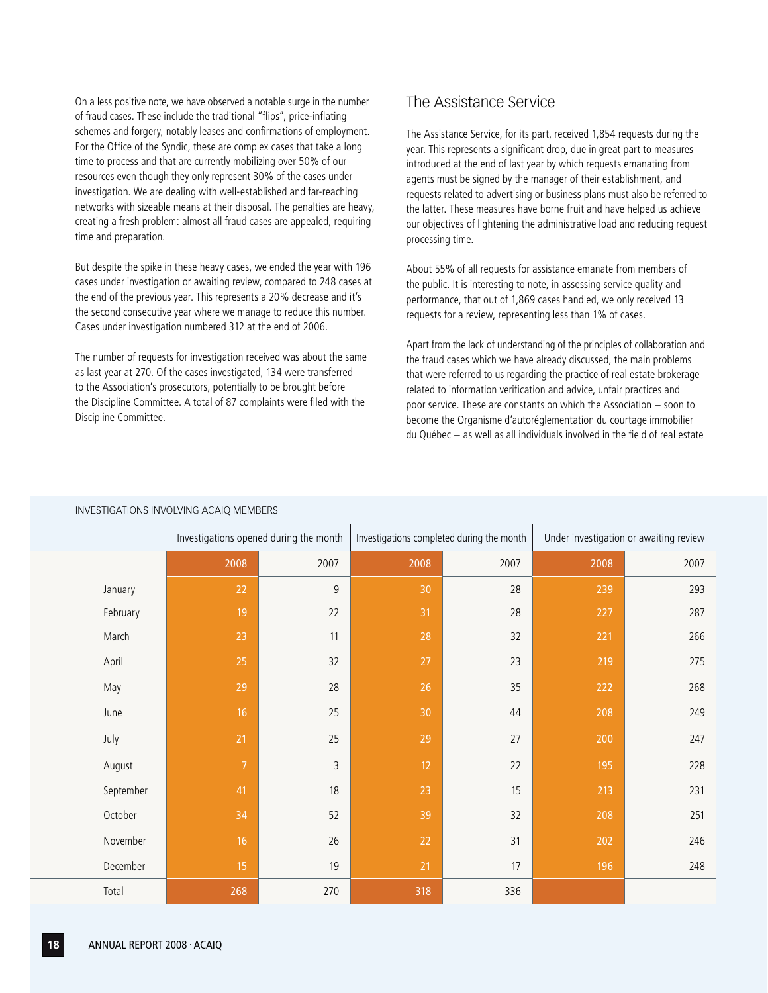On a less positive note, we have observed a notable surge in the number of fraud cases. These include the traditional "flips", price-inflating schemes and forgery, notably leases and confirmations of employment. For the Office of the Syndic, these are complex cases that take a long time to process and that are currently mobilizing over 50% of our resources even though they only represent 30% of the cases under investigation. We are dealing with well-established and far-reaching networks with sizeable means at their disposal. The penalties are heavy, creating a fresh problem: almost all fraud cases are appealed, requiring time and preparation.

But despite the spike in these heavy cases, we ended the year with 196 cases under investigation or awaiting review, compared to 248 cases at the end of the previous year. This represents a 20% decrease and it's the second consecutive year where we manage to reduce this number. Cases under investigation numbered 312 at the end of 2006.

The number of requests for investigation received was about the same as last year at 270. Of the cases investigated, 134 were transferred to the Association's prosecutors, potentially to be brought before the Discipline Committee. A total of 87 complaints were filed with the Discipline Committee.

## The Assistance Service

The Assistance Service, for its part, received 1,854 requests during the year. This represents a significant drop, due in great part to measures introduced at the end of last year by which requests emanating from agents must be signed by the manager of their establishment, and requests related to advertising or business plans must also be referred to the latter. These measures have borne fruit and have helped us achieve our objectives of lightening the administrative load and reducing request processing time.

About 55% of all requests for assistance emanate from members of the public. It is interesting to note, in assessing service quality and performance, that out of 1,869 cases handled, we only received 13 requests for a review, representing less than 1% of cases.

Apart from the lack of understanding of the principles of collaboration and the fraud cases which we have already discussed, the main problems that were referred to us regarding the practice of real estate brokerage related to information verification and advice, unfair practices and poor service. These are constants on which the Association – soon to become the Organisme d'autoréglementation du courtage immobilier du Québec − as well as all individuals involved in the field of real estate

| Investigations opened during the month |                | Investigations completed during the month |      | Under investigation or awaiting review |      |      |
|----------------------------------------|----------------|-------------------------------------------|------|----------------------------------------|------|------|
|                                        | 2008           | 2007                                      | 2008 | 2007                                   | 2008 | 2007 |
| January                                | 22             | 9                                         | 30   | 28                                     | 239  | 293  |
| February                               | 19             | 22                                        | 31   | 28                                     | 227  | 287  |
| March                                  | 23             | 11                                        | 28   | 32                                     | 221  | 266  |
| April                                  | 25             | 32                                        | 27   | 23                                     | 219  | 275  |
| May                                    | 29             | 28                                        | 26   | 35                                     | 222  | 268  |
| June                                   | 16             | 25                                        | 30   | 44                                     | 208  | 249  |
| July                                   | 21             | 25                                        | 29   | 27                                     | 200  | 247  |
| August                                 | $\overline{7}$ | 3                                         | 12   | 22                                     | 195  | 228  |
| September                              | 41             | 18                                        | 23   | 15                                     | 213  | 231  |
| October                                | 34             | 52                                        | 39   | 32                                     | 208  | 251  |
| November                               | 16             | 26                                        | 22   | 31                                     | 202  | 246  |
| December                               | 15             | 19                                        | 21   | 17                                     | 196  | 248  |
| Total                                  | 268            | 270                                       | 318  | 336                                    |      |      |

#### Investigations involving ACAIQ members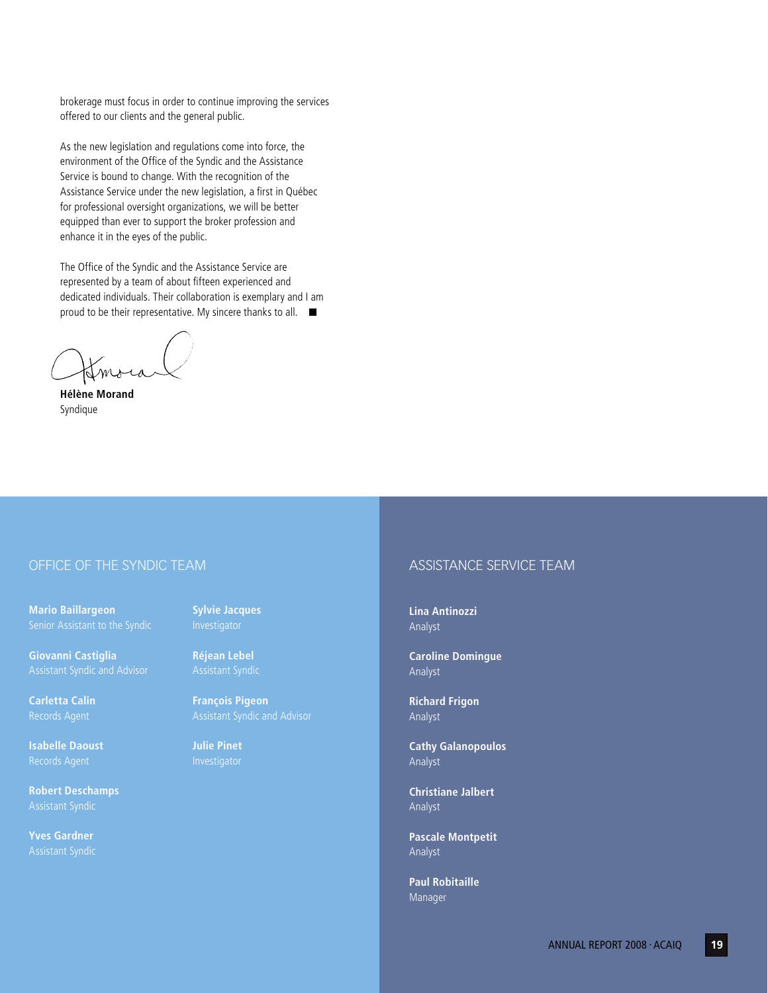brokerage must focus in order to continue improving the services offered to our clients and the general public.

As the new legislation and regulations come into force, the environment of the Office of the Syndic and the Assistance Service is bound to change. With the recognition of the Assistance Service under the new legislation, a first in Québec for professional oversight organizations, we will be better equipped than ever to support the broker profession and enhance it in the eyes of the public.

The Office of the Syndic and the Assistance Service are represented by a team of about fifteen experienced and dedicated individuals. Their collaboration is exemplary and I am proud to be their representative. My sincere thanks to all.

more

**Hélène Morand** Syndique

### OFFICE OF THE SYNDIC TEAM

**Mario Baillargeon** Senior Assistant to the Syndic

**Giovanni Castiglia**

**Carletta Calin**

**Isabelle Daoust**

**Robert Deschamps**

**Yves Gardner**

**Sylvie Jacques**

**Réjean Lebel**

**François Pigeon**

**Julie Pinet**

### ASSISTANCE SERVICE TEAM

**Lina Antinozzi** Analyst

**Caroline Domingue** Analyst

**Richard Frigon** Analyst

**Cathy Galanopoulos** Analyst

**Christiane Jalbert** Analyst

**Pascale Montpetit** Analyst

**Paul Robitaille** Manager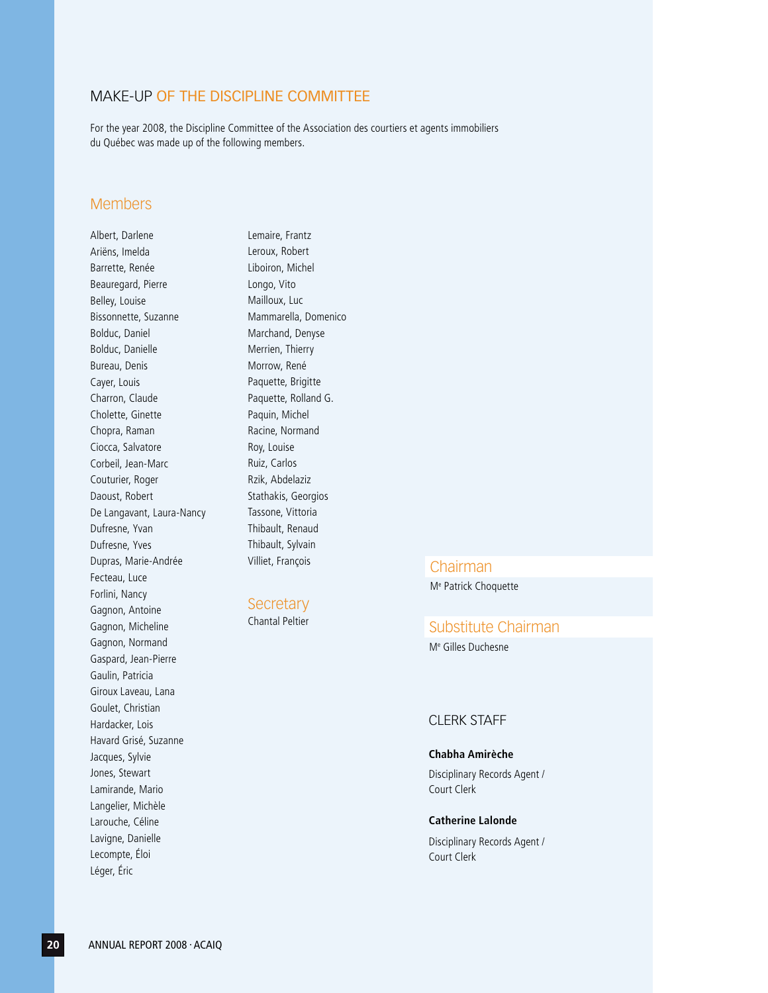### Make-up of the DISCIPLINE Committee

For the year 2008, the Discipline Committee of the Association des courtiers et agents immobiliers du Québec was made up of the following members.

### Members

Albert, Darlene Ariëns, Imelda Barrette, Renée Beauregard, Pierre Belley, Louise Bissonnette, Suzanne Bolduc, Daniel Bolduc, Danielle Bureau, Denis Cayer, Louis Charron, Claude Cholette, Ginette Chopra, Raman Ciocca, Salvatore Corbeil, Jean-Marc Couturier, Roger Daoust, Robert De Langavant, Laura-Nancy Dufresne, Yvan Dufresne, Yves Dupras, Marie-Andrée Fecteau, Luce Forlini, Nancy Gagnon, Antoine Gagnon, Micheline Gagnon, Normand Gaspard, Jean-Pierre Gaulin, Patricia Giroux Laveau, Lana Goulet, Christian Hardacker, Lois Havard Grisé, Suzanne Jacques, Sylvie Jones, Stewart Lamirande, Mario Langelier, Michèle Larouche, Céline Lavigne, Danielle Lecompte, Éloi Léger, Éric

Lemaire, Frantz Leroux, Robert Liboiron, Michel Longo, Vito Mailloux, Luc Mammarella, Domenico Marchand, Denyse Merrien, Thierry Morrow, René Paquette, Brigitte Paquette, Rolland G. Paquin, Michel Racine, Normand Roy, Louise Ruiz, Carlos Rzik, Abdelaziz Stathakis, Georgios Tassone, Vittoria Thibault, Renaud Thibault, Sylvain Villiet, François

### **Secretary**

Chantal Peltier

### Chairman

Me Patrick Choquette

### Substitute Chairman

Me Gilles Duchesne

### CLERK STAFF

#### **Chabha Amirèche**

Disciplinary Records Agent / Court Clerk

#### **Catherine Lalonde**

Disciplinary Records Agent / Court Clerk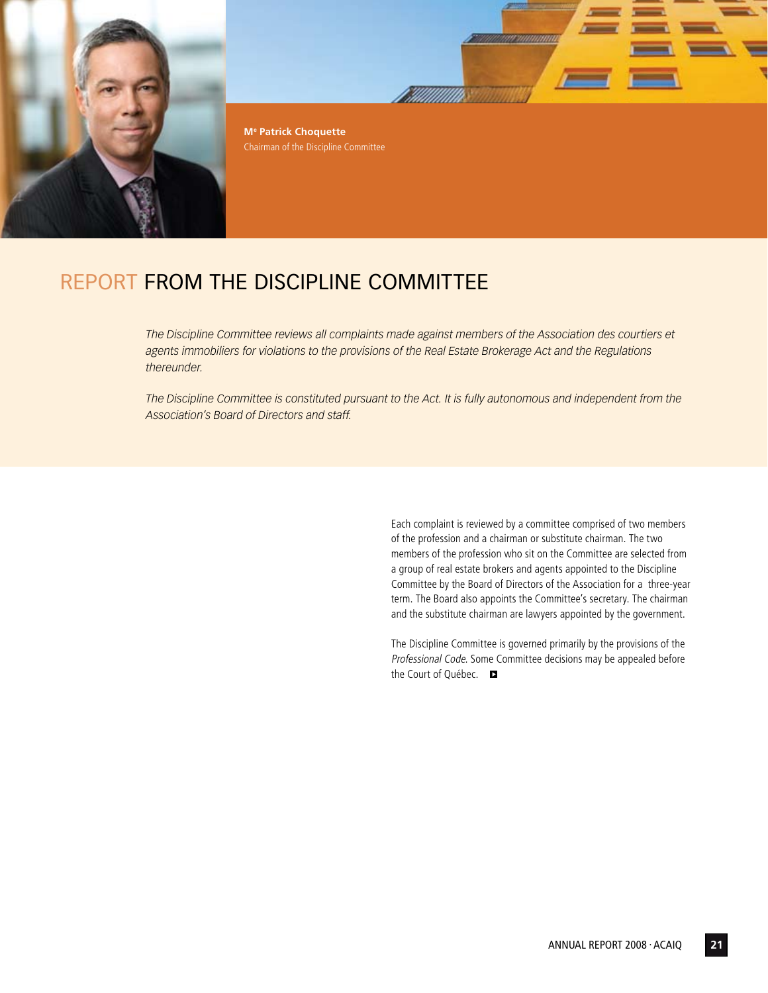

**Me Patrick Choquette** Chairman of the Discipline Committee

# Report from the Discipline Committee

*The Discipline Committee reviews all complaints made against members of the Association des courtiers et agents immobiliers for violations to the provisions of the Real Estate Brokerage Act and the Regulations thereunder.*

**Millillilli** 

*The Discipline Committee is constituted pursuant to the Act. It is fully autonomous and independent from the Association's Board of Directors and staff.*

> Each complaint is reviewed by a committee comprised of two members of the profession and a chairman or substitute chairman. The two members of the profession who sit on the Committee are selected from a group of real estate brokers and agents appointed to the Discipline Committee by the Board of Directors of the Association for a three-year term. The Board also appoints the Committee's secretary. The chairman and the substitute chairman are lawyers appointed by the government.

The Discipline Committee is governed primarily by the provisions of the Professional Code. Some Committee decisions may be appealed before the Court of Québec.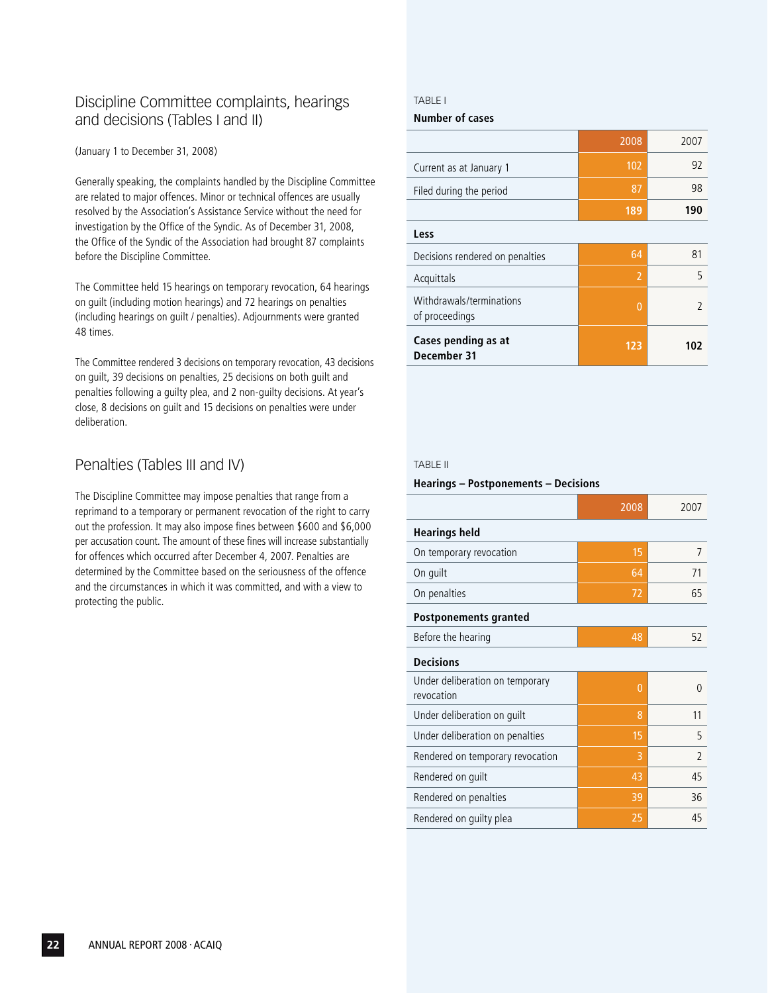## Discipline Committee complaints, hearings and decisions (Tables I and II)

(January 1 to December 31, 2008)

Generally speaking, the complaints handled by the Discipline Committee are related to major offences. Minor or technical offences are usually resolved by the Association's Assistance Service without the need for investigation by the Office of the Syndic. As of December 31, 2008, the Office of the Syndic of the Association had brought 87 complaints before the Discipline Committee.

The Committee held 15 hearings on temporary revocation, 64 hearings on guilt (including motion hearings) and 72 hearings on penalties (including hearings on guilt / penalties). Adjournments were granted 48 times.

The Committee rendered 3 decisions on temporary revocation, 43 decisions on guilt, 39 decisions on penalties, 25 decisions on both guilt and penalties following a guilty plea, and 2 non-guilty decisions. At year's close, 8 decisions on guilt and 15 decisions on penalties were under deliberation.

## Penalties (Tables III and IV)

The Discipline Committee may impose penalties that range from a reprimand to a temporary or permanent revocation of the right to carry out the profession. It may also impose fines between \$600 and \$6,000 per accusation count. The amount of these fines will increase substantially for offences which occurred after December 4, 2007. Penalties are determined by the Committee based on the seriousness of the offence and the circumstances in which it was committed, and with a view to protecting the public.

### TABI F I

### **Number of cases**

|                                            | 2008           | 2007 |
|--------------------------------------------|----------------|------|
| Current as at January 1                    | 102            | 92   |
| Filed during the period                    | 87             | 98   |
|                                            | 189            | 190  |
| Less                                       |                |      |
| Decisions rendered on penalties            | 64             | 81   |
| Acquittals                                 | $\overline{2}$ | 5    |
| Withdrawals/terminations<br>of proceedings | $\Omega$       | C    |
| Cases pending as at<br>December 31         | 123            | 102  |

#### Table II

#### **Hearings – Postponements – Decisions**

|                                               | 2008           | 2007           |
|-----------------------------------------------|----------------|----------------|
| <b>Hearings held</b>                          |                |                |
| On temporary revocation                       | 15             | 7              |
| On guilt                                      | 64             | 71             |
| On penalties                                  | 72             | 65             |
| <b>Postponements granted</b>                  |                |                |
| Before the hearing                            | 48             | 52             |
| <b>Decisions</b>                              |                |                |
| Under deliberation on temporary<br>revocation | $\overline{0}$ | $\Omega$       |
| Under deliberation on guilt                   | 8              | 11             |
| Under deliberation on penalties               | 15             | 5              |
| Rendered on temporary revocation              | 3              | $\mathfrak{D}$ |
| Rendered on guilt                             | 43             | 45             |
| Rendered on penalties                         | 39             | 36             |
| Rendered on guilty plea                       | 25             | 45             |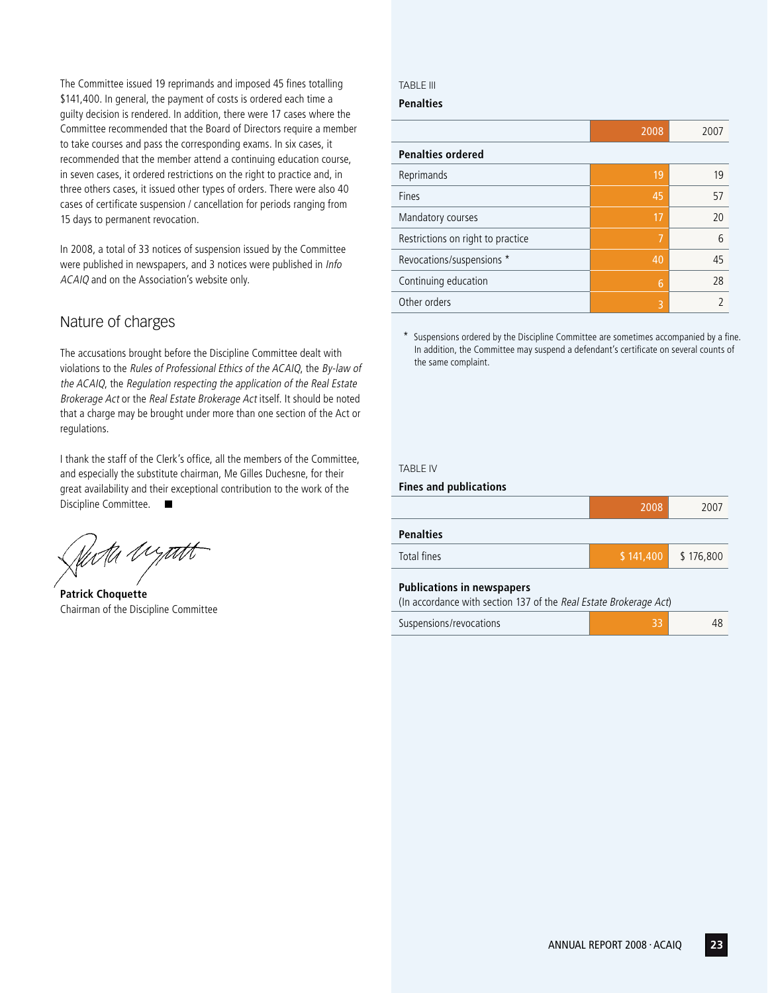The Committee issued 19 reprimands and imposed 45 fines totalling \$141,400. In general, the payment of costs is ordered each time a guilty decision is rendered. In addition, there were 17 cases where the Committee recommended that the Board of Directors require a member to take courses and pass the corresponding exams. In six cases, it recommended that the member attend a continuing education course, in seven cases, it ordered restrictions on the right to practice and, in three others cases, it issued other types of orders. There were also 40 cases of certificate suspension / cancellation for periods ranging from 15 days to permanent revocation.

In 2008, a total of 33 notices of suspension issued by the Committee were published in newspapers, and 3 notices were published in Info ACAIQ and on the Association's website only.

### Nature of charges

The accusations brought before the Discipline Committee dealt with violations to the Rules of Professional Ethics of the ACAIQ, the By-law of the ACAIQ, the Regulation respecting the application of the Real Estate Brokerage Act or the Real Estate Brokerage Act itself. It should be noted that a charge may be brought under more than one section of the Act or regulations.

I thank the staff of the Clerk's office, all the members of the Committee, and especially the substitute chairman, Me Gilles Duchesne, for their great availability and their exceptional contribution to the work of the Discipline Committee.

ista *bug<del>udt</del>* 

**Patrick Choquette** Chairman of the Discipline Committee

#### Table III

#### **Penalties**

|                                   | 2008 | 2007 |  |
|-----------------------------------|------|------|--|
| <b>Penalties ordered</b>          |      |      |  |
| Reprimands                        | 19   | 19   |  |
| Fines                             | 45   | 57   |  |
| Mandatory courses                 | 17   | 20   |  |
| Restrictions on right to practice | 7    | 6    |  |
| Revocations/suspensions *         | 40   | 45   |  |
| Continuing education              | 6    | 28   |  |
| Other orders                      | 3    |      |  |

\* Suspensions ordered by the Discipline Committee are sometimes accompanied by a fine. In addition, the Committee may suspend a defendant's certificate on several counts of the same complaint.

#### Table IV

#### **Fines and publications**

|                  | 2008 | 2007                  |
|------------------|------|-----------------------|
| <b>Penalties</b> |      |                       |
| Total fines      |      | $$141,400$ $$176,800$ |

#### **Publications in newspapers**

(In accordance with section 137 of the Real Estate Brokerage Act)

| Suspensions/revocations |  |
|-------------------------|--|
|                         |  |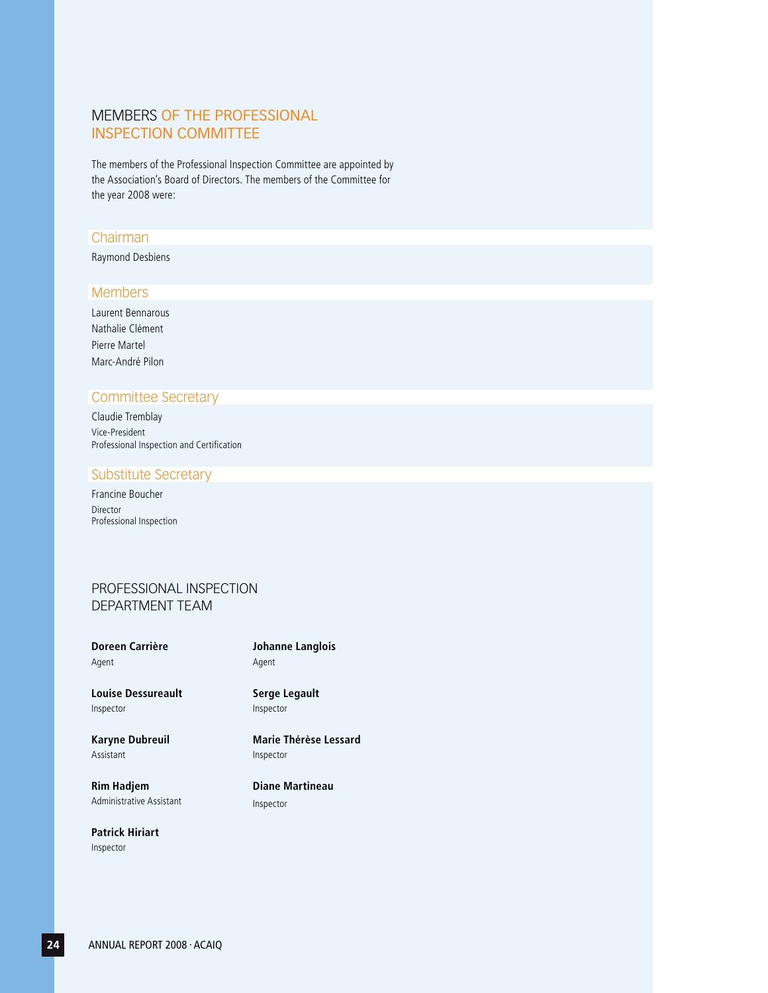### Members OF THE PROFESSIONAL INSPECTION Committee

The members of the Professional Inspection Committee are appointed by the Association's Board of Directors. The members of the Committee for the year 2008 were:

### Chairman

Raymond Desbiens

#### Members

Laurent Bennarous Nathalie Clément Pierre Martel Marc-André Pilon

### Committee Secretary

Claudie Tremblay Vice-President Professional Inspection and Certification

### Substitute Secretary

Francine Boucher Director Professional Inspection

### PROFESSIONAL INSPECTION DEPARTMENT TEAM

| Doreen Carrière              | <b>Johanne Langlois</b> |
|------------------------------|-------------------------|
| Agent                        | Agent                   |
| Louise Dessureault           | Serge Legault           |
| Inspector                    | Inspector               |
| Karyne Dubreuil              | Marie Thérèse Lessard   |
| Assistant                    | Inspector               |
| Rim Hadjem                   | <b>Diane Martineau</b>  |
| Administrative Assistant     | Inspector               |
| Patrick Hiriart<br>Inspector |                         |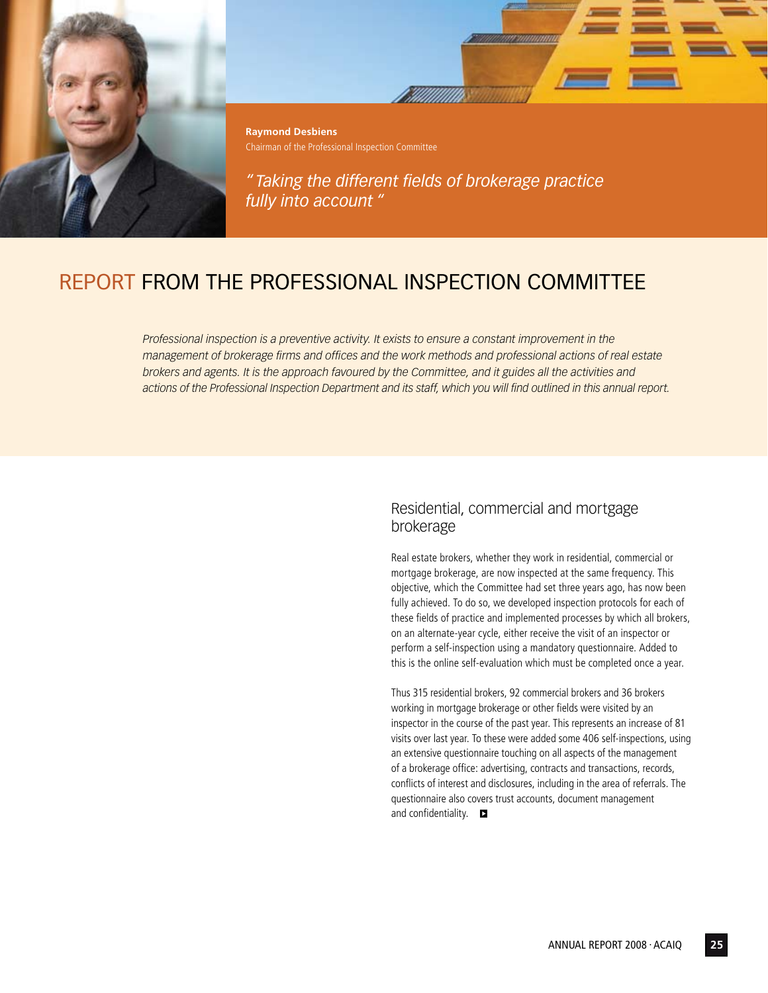

**Raymond Desbiens** Chairman of the Professional Inspection Committee

*" Taking the different fields of brokerage practice fully into account "*

# Report from the Professional Inspection Committee

*Professional inspection is a preventive activity. It exists to ensure a constant improvement in the management of brokerage firms and offices and the work methods and professional actions of real estate brokers and agents. It is the approach favoured by the Committee, and it guides all the activities and actions of the Professional Inspection Department and its staff, which you will find outlined in this annual report.*

### Residential, commercial and mortgage brokerage

Real estate brokers, whether they work in residential, commercial or mortgage brokerage, are now inspected at the same frequency. This objective, which the Committee had set three years ago, has now been fully achieved. To do so, we developed inspection protocols for each of these fields of practice and implemented processes by which all brokers, on an alternate-year cycle, either receive the visit of an inspector or perform a self-inspection using a mandatory questionnaire. Added to this is the online self-evaluation which must be completed once a year.

Thus 315 residential brokers, 92 commercial brokers and 36 brokers working in mortgage brokerage or other fields were visited by an inspector in the course of the past year. This represents an increase of 81 visits over last year. To these were added some 406 self-inspections, using an extensive questionnaire touching on all aspects of the management of a brokerage office: advertising, contracts and transactions, records, conflicts of interest and disclosures, including in the area of referrals. The questionnaire also covers trust accounts, document management and confidentiality.  $\Box$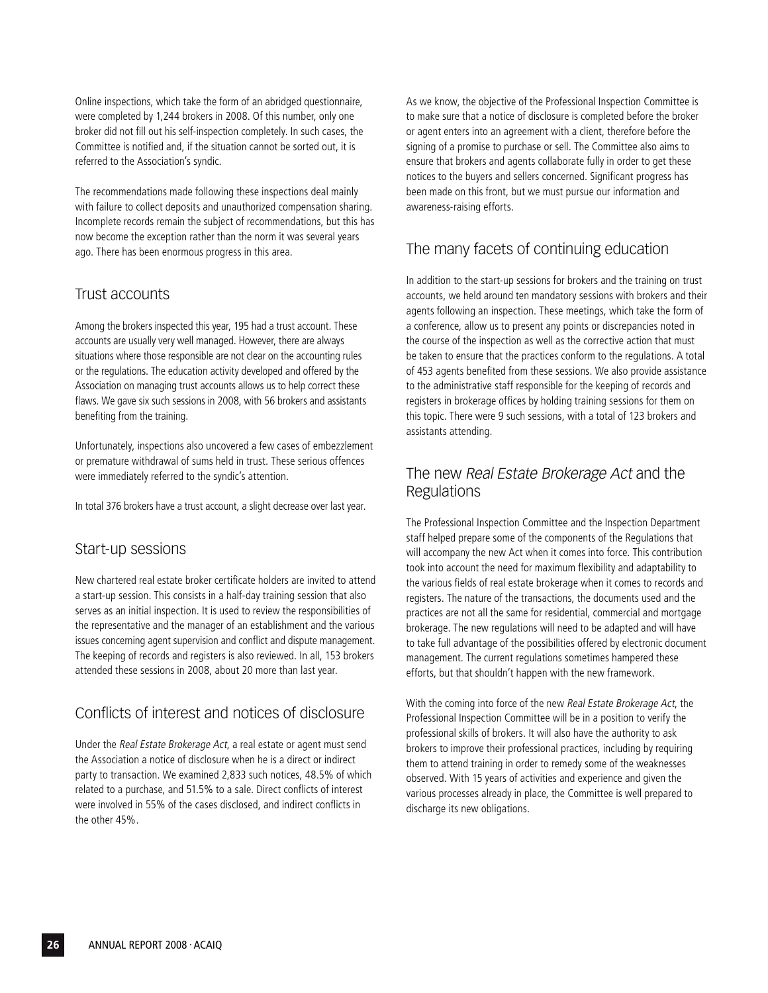Online inspections, which take the form of an abridged questionnaire, were completed by 1,244 brokers in 2008. Of this number, only one broker did not fill out his self-inspection completely. In such cases, the Committee is notified and, if the situation cannot be sorted out, it is referred to the Association's syndic.

The recommendations made following these inspections deal mainly with failure to collect deposits and unauthorized compensation sharing. Incomplete records remain the subject of recommendations, but this has now become the exception rather than the norm it was several years ago. There has been enormous progress in this area.

### Trust accounts

Among the brokers inspected this year, 195 had a trust account. These accounts are usually very well managed. However, there are always situations where those responsible are not clear on the accounting rules or the regulations. The education activity developed and offered by the Association on managing trust accounts allows us to help correct these flaws. We gave six such sessions in 2008, with 56 brokers and assistants benefiting from the training.

Unfortunately, inspections also uncovered a few cases of embezzlement or premature withdrawal of sums held in trust. These serious offences were immediately referred to the syndic's attention.

In total 376 brokers have a trust account, a slight decrease over last year.

### Start-up sessions

New chartered real estate broker certificate holders are invited to attend a start-up session. This consists in a half-day training session that also serves as an initial inspection. It is used to review the responsibilities of the representative and the manager of an establishment and the various issues concerning agent supervision and conflict and dispute management. The keeping of records and registers is also reviewed. In all, 153 brokers attended these sessions in 2008, about 20 more than last year.

# Conflicts of interest and notices of disclosure

Under the Real Estate Brokerage Act, a real estate or agent must send the Association a notice of disclosure when he is a direct or indirect party to transaction. We examined 2,833 such notices, 48.5% of which related to a purchase, and 51.5% to a sale. Direct conflicts of interest were involved in 55% of the cases disclosed, and indirect conflicts in the other 45%.

As we know, the objective of the Professional Inspection Committee is to make sure that a notice of disclosure is completed before the broker or agent enters into an agreement with a client, therefore before the signing of a promise to purchase or sell. The Committee also aims to ensure that brokers and agents collaborate fully in order to get these notices to the buyers and sellers concerned. Significant progress has been made on this front, but we must pursue our information and awareness-raising efforts.

# The many facets of continuing education

In addition to the start-up sessions for brokers and the training on trust accounts, we held around ten mandatory sessions with brokers and their agents following an inspection. These meetings, which take the form of a conference, allow us to present any points or discrepancies noted in the course of the inspection as well as the corrective action that must be taken to ensure that the practices conform to the regulations. A total of 453 agents benefited from these sessions. We also provide assistance to the administrative staff responsible for the keeping of records and registers in brokerage offices by holding training sessions for them on this topic. There were 9 such sessions, with a total of 123 brokers and assistants attending.

### The new Real Estate Brokerage Act and the **Regulations**

The Professional Inspection Committee and the Inspection Department staff helped prepare some of the components of the Regulations that will accompany the new Act when it comes into force. This contribution took into account the need for maximum flexibility and adaptability to the various fields of real estate brokerage when it comes to records and registers. The nature of the transactions, the documents used and the practices are not all the same for residential, commercial and mortgage brokerage. The new regulations will need to be adapted and will have to take full advantage of the possibilities offered by electronic document management. The current regulations sometimes hampered these efforts, but that shouldn't happen with the new framework.

With the coming into force of the new Real Estate Brokerage Act, the Professional Inspection Committee will be in a position to verify the professional skills of brokers. It will also have the authority to ask brokers to improve their professional practices, including by requiring them to attend training in order to remedy some of the weaknesses observed. With 15 years of activities and experience and given the various processes already in place, the Committee is well prepared to discharge its new obligations.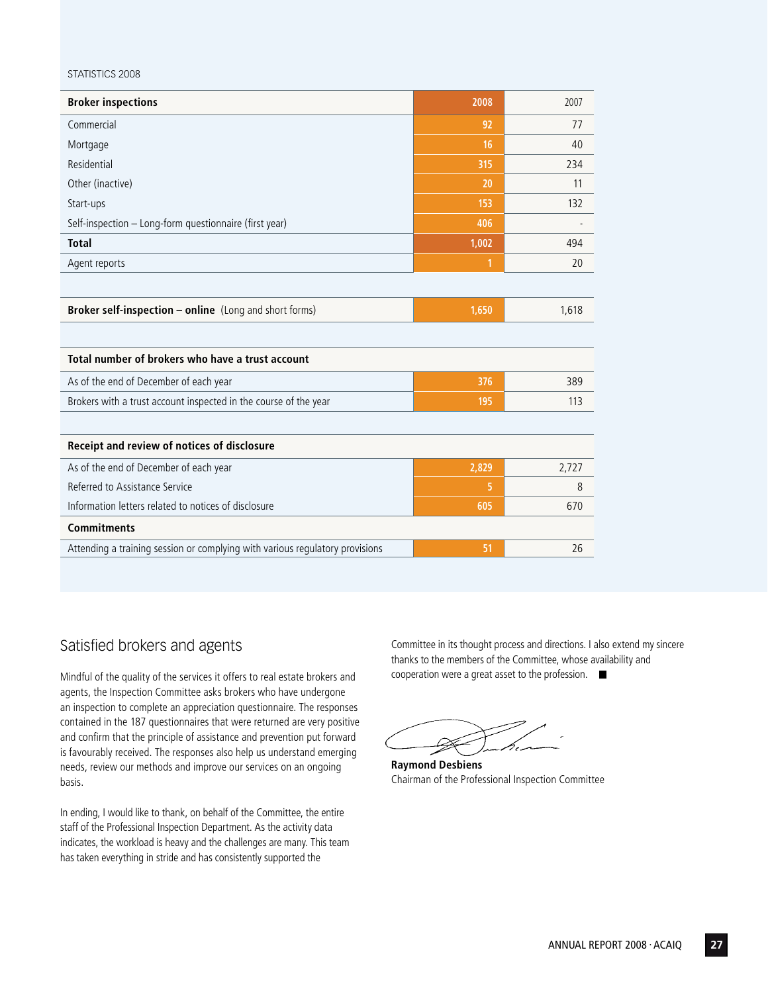#### STATISTICS 2008

| <b>Broker inspections</b>                                                    | 2008  | 2007  |
|------------------------------------------------------------------------------|-------|-------|
| Commercial                                                                   | 92    | 77    |
| Mortgage                                                                     | 16    | 40    |
| Residential                                                                  | 315   | 234   |
| Other (inactive)                                                             | 20    | 11    |
| Start-ups                                                                    | 153   | 132   |
| Self-inspection - Long-form questionnaire (first year)                       | 406   |       |
| <b>Total</b>                                                                 | 1,002 | 494   |
| Agent reports                                                                | 1     | 20    |
|                                                                              |       |       |
| <b>Broker self-inspection - online</b> (Long and short forms)                | 1,650 | 1,618 |
|                                                                              |       |       |
| Total number of brokers who have a trust account                             |       |       |
| As of the end of December of each year                                       | 376   | 389   |
| Brokers with a trust account inspected in the course of the year             | 195   | 113   |
|                                                                              |       |       |
| Receipt and review of notices of disclosure                                  |       |       |
| As of the end of December of each year                                       | 2,829 | 2,727 |
| Referred to Assistance Service                                               | 5     | 8     |
| Information letters related to notices of disclosure                         | 605   | 670   |
| <b>Commitments</b>                                                           |       |       |
| Attending a training session or complying with various regulatory provisions | 51    | 26    |

## Satisfied brokers and agents

Mindful of the quality of the services it offers to real estate brokers and agents, the Inspection Committee asks brokers who have undergone an inspection to complete an appreciation questionnaire. The responses contained in the 187 questionnaires that were returned are very positive and confirm that the principle of assistance and prevention put forward is favourably received. The responses also help us understand emerging needs, review our methods and improve our services on an ongoing basis.

In ending, I would like to thank, on behalf of the Committee, the entire staff of the Professional Inspection Department. As the activity data indicates, the workload is heavy and the challenges are many. This team has taken everything in stride and has consistently supported the

Committee in its thought process and directions. I also extend my sincere thanks to the members of the Committee, whose availability and cooperation were a great asset to the profession.

**Raymond Desbiens** Chairman of the Professional Inspection Committee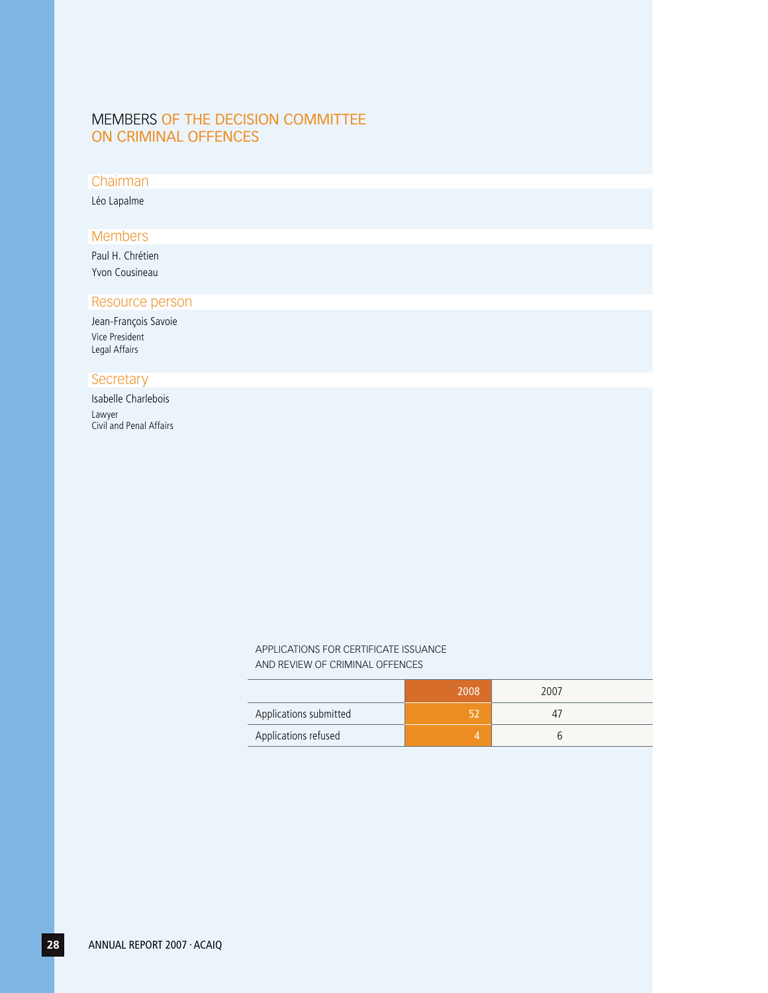## MEMBERS OF THE DECISION COMMITTEE ON CRIMINAL OFFENCES

### Chairman

Léo Lapalme

#### Members

Paul H. Chrétien Yvon Cousineau

#### Resource person

Jean-François Savoie Vice President Legal Affairs

### **Secretary**

Isabelle Charlebois Lawyer Civil and Penal Affairs

#### Applications for certificate issuance and review of criminal offences

|                        | 2008 | 2007 |  |
|------------------------|------|------|--|
| Applications submitted |      |      |  |
| Applications refused   |      |      |  |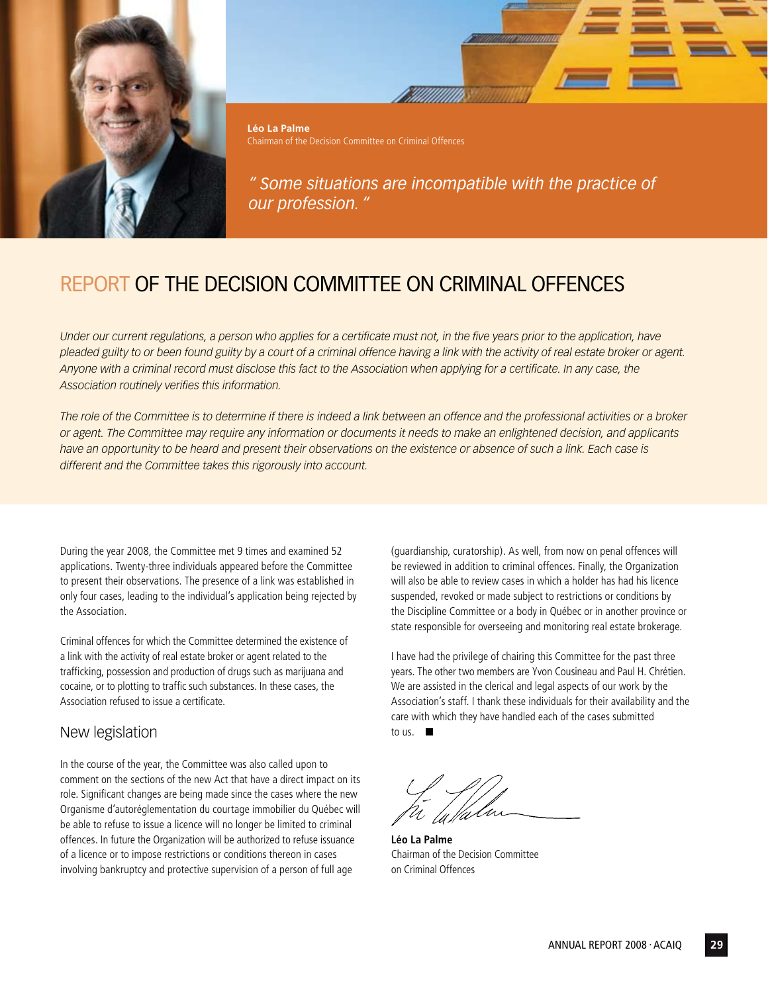

**Léo La Palme** Chairman of the Decision Committee on Criminal Offences

*" Some situations are incompatible with the practice of our profession. "*

# Report of the Decision Committee on Criminal Offences

*Under our current regulations, a person who applies for a certificate must not, in the five years prior to the application, have pleaded guilty to or been found guilty by a court of a criminal offence having a link with the activity of real estate broker or agent. Anyone with a criminal record must disclose this fact to the Association when applying for a certificate. In any case, the Association routinely verifies this information.*

*The role of the Committee is to determine if there is indeed a link between an offence and the professional activities or a broker or agent. The Committee may require any information or documents it needs to make an enlightened decision, and applicants*  have an opportunity to be heard and present their observations on the existence or absence of such a link. Each case is *different and the Committee takes this rigorously into account.* 

During the year 2008, the Committee met 9 times and examined 52 applications. Twenty-three individuals appeared before the Committee to present their observations. The presence of a link was established in only four cases, leading to the individual's application being rejected by the Association.

Criminal offences for which the Committee determined the existence of a link with the activity of real estate broker or agent related to the trafficking, possession and production of drugs such as marijuana and cocaine, or to plotting to traffic such substances. In these cases, the Association refused to issue a certificate.

### New legislation

In the course of the year, the Committee was also called upon to comment on the sections of the new Act that have a direct impact on its role. Significant changes are being made since the cases where the new Organisme d'autoréglementation du courtage immobilier du Québec will be able to refuse to issue a licence will no longer be limited to criminal offences. In future the Organization will be authorized to refuse issuance of a licence or to impose restrictions or conditions thereon in cases involving bankruptcy and protective supervision of a person of full age

(guardianship, curatorship). As well, from now on penal offences will be reviewed in addition to criminal offences. Finally, the Organization will also be able to review cases in which a holder has had his licence suspended, revoked or made subject to restrictions or conditions by the Discipline Committee or a body in Québec or in another province or state responsible for overseeing and monitoring real estate brokerage.

I have had the privilege of chairing this Committee for the past three years. The other two members are Yvon Cousineau and Paul H. Chrétien. We are assisted in the clerical and legal aspects of our work by the Association's staff. I thank these individuals for their availability and the care with which they have handled each of the cases submitted to us.

**Léo La Palme** Chairman of the Decision Committee on Criminal Offences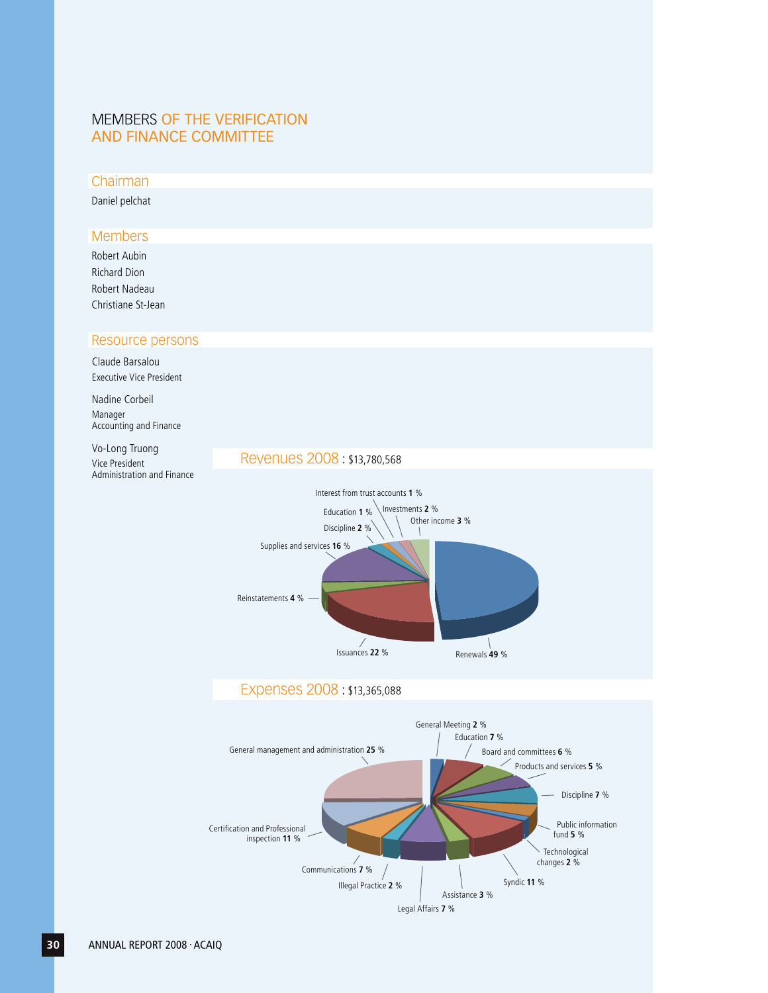### MEMBERS OF THE VERIFICATION AND FINANCE COMMITTEE

#### Chairman

Daniel pelchat

### Members

Robert Aubin Richard Dion Robert Nadeau Christiane St-Jean

### Resource persons

Claude Barsalou Executive Vice President

Nadine Corbeil Manager Accounting and Finance

Vo-Long Truong Vice President Administration and Finance

### Revenues 2008 : \$13,780,568



Expenses 2008 : \$13,365,088

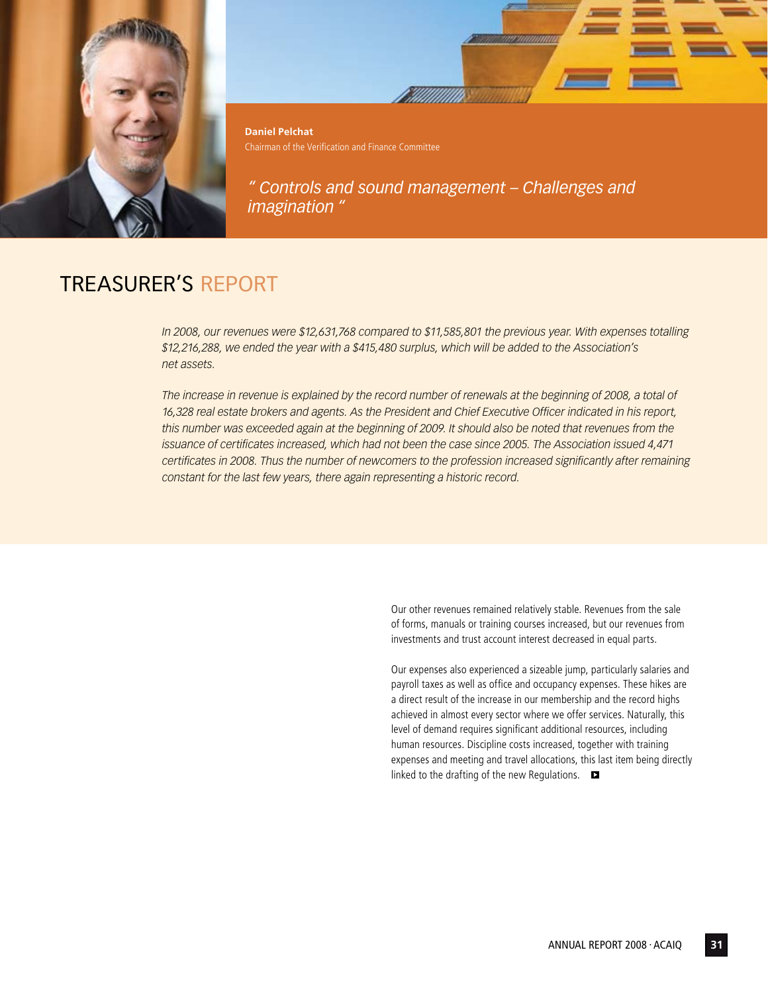

**Daniel Pelchat** Chairman of the Verification and Finance Committee

*" Controls and sound management – Challenges and imagination "*

# Treasurer's Report

*In 2008, our revenues were \$12,631,768 compared to \$11,585,801 the previous year. With expenses totalling \$12,216,288, we ended the year with a \$415,480 surplus, which will be added to the Association's net assets.*

*The increase in revenue is explained by the record number of renewals at the beginning of 2008, a total of 16,328 real estate brokers and agents. As the President and Chief Executive Officer indicated in his report, this number was exceeded again at the beginning of 2009. It should also be noted that revenues from the issuance of certificates increased, which had not been the case since 2005. The Association issued 4,471 certificates in 2008. Thus the number of newcomers to the profession increased significantly after remaining constant for the last few years, there again representing a historic record.* 

> Our other revenues remained relatively stable. Revenues from the sale of forms, manuals or training courses increased, but our revenues from investments and trust account interest decreased in equal parts.

Our expenses also experienced a sizeable jump, particularly salaries and payroll taxes as well as office and occupancy expenses. These hikes are a direct result of the increase in our membership and the record highs achieved in almost every sector where we offer services. Naturally, this level of demand requires significant additional resources, including human resources. Discipline costs increased, together with training expenses and meeting and travel allocations, this last item being directly linked to the drafting of the new Regulations.  $\Box$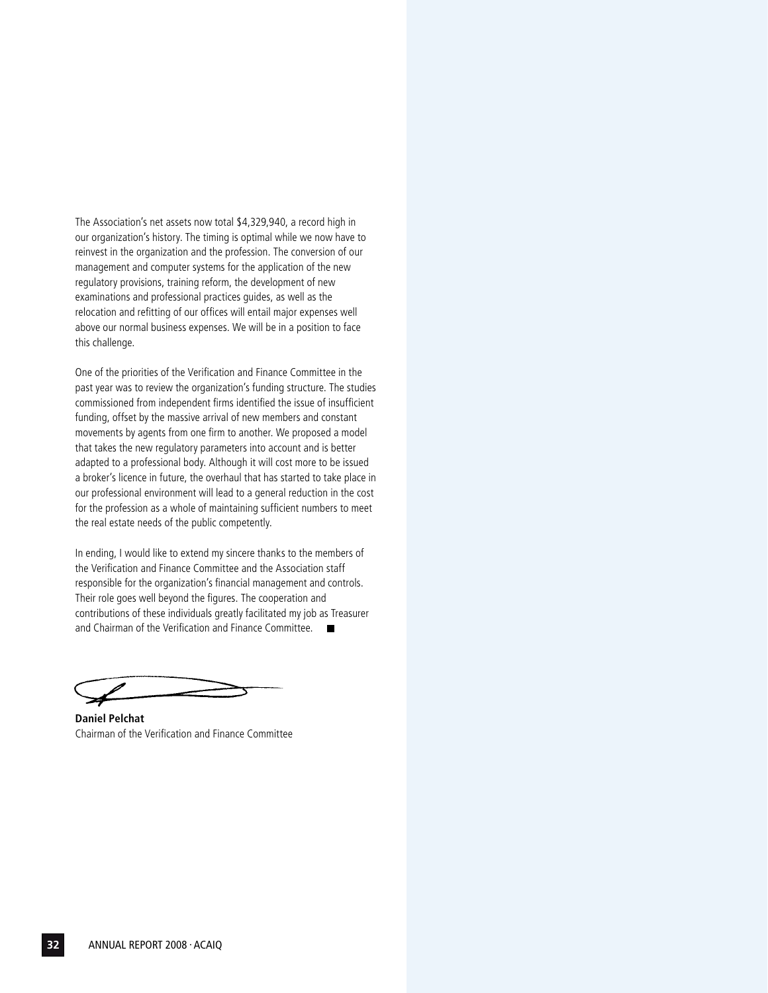The Association's net assets now total \$4,329,940, a record high in our organization's history. The timing is optimal while we now have to reinvest in the organization and the profession. The conversion of our management and computer systems for the application of the new regulatory provisions, training reform, the development of new examinations and professional practices guides, as well as the relocation and refitting of our offices will entail major expenses well above our normal business expenses. We will be in a position to face this challenge.

One of the priorities of the Verification and Finance Committee in the past year was to review the organization's funding structure. The studies commissioned from independent firms identified the issue of insufficient funding, offset by the massive arrival of new members and constant movements by agents from one firm to another. We proposed a model that takes the new regulatory parameters into account and is better adapted to a professional body. Although it will cost more to be issued a broker's licence in future, the overhaul that has started to take place in our professional environment will lead to a general reduction in the cost for the profession as a whole of maintaining sufficient numbers to meet the real estate needs of the public competently.

In ending, I would like to extend my sincere thanks to the members of the Verification and Finance Committee and the Association staff responsible for the organization's financial management and controls. Their role goes well beyond the figures. The cooperation and contributions of these individuals greatly facilitated my job as Treasurer and Chairman of the Verification and Finance Committee.

**Daniel Pelchat** Chairman of the Verification and Finance Committee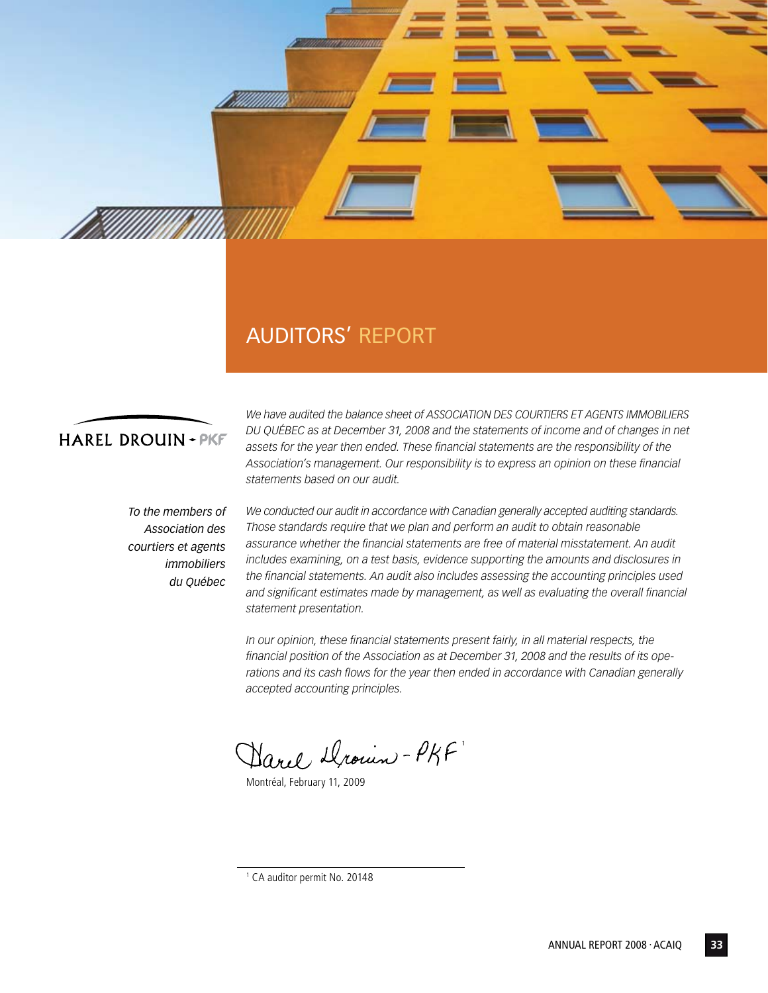# AUDITORS' REPORT

WWWW.

# **HAREL DROUIN - PKF**

*To the members of Association des courtiers et agents immobiliers du Québec*

*We have audited the balance sheet of ASSOCIATION DES COURTIERS ET AGENTS IMMOBILIERS DU QUÉBEC as at December 31, 2008 and the statements of income and of changes in net assets for the year then ended. These financial statements are the responsibility of the Association's management. Our responsibility is to express an opinion on these financial statements based on our audit.*

*We conducted our audit in accordance with Canadian generally accepted auditing standards. Those standards require that we plan and perform an audit to obtain reasonable assurance whether the financial statements are free of material misstatement. An audit includes examining, on a test basis, evidence supporting the amounts and disclosures in the financial statements. An audit also includes assessing the accounting principles used and significant estimates made by management, as well as evaluating the overall financial statement presentation.*

*In our opinion, these financial statements present fairly, in all material respects, the financial position of the Association as at December 31, 2008 and the results of its ope*rations and its cash flows for the year then ended in accordance with Canadian generally *accepted accounting principles.*

Darel Droin - PKF

Montréal, February 11, 2009

<sup>1</sup> CA auditor permit No. 20148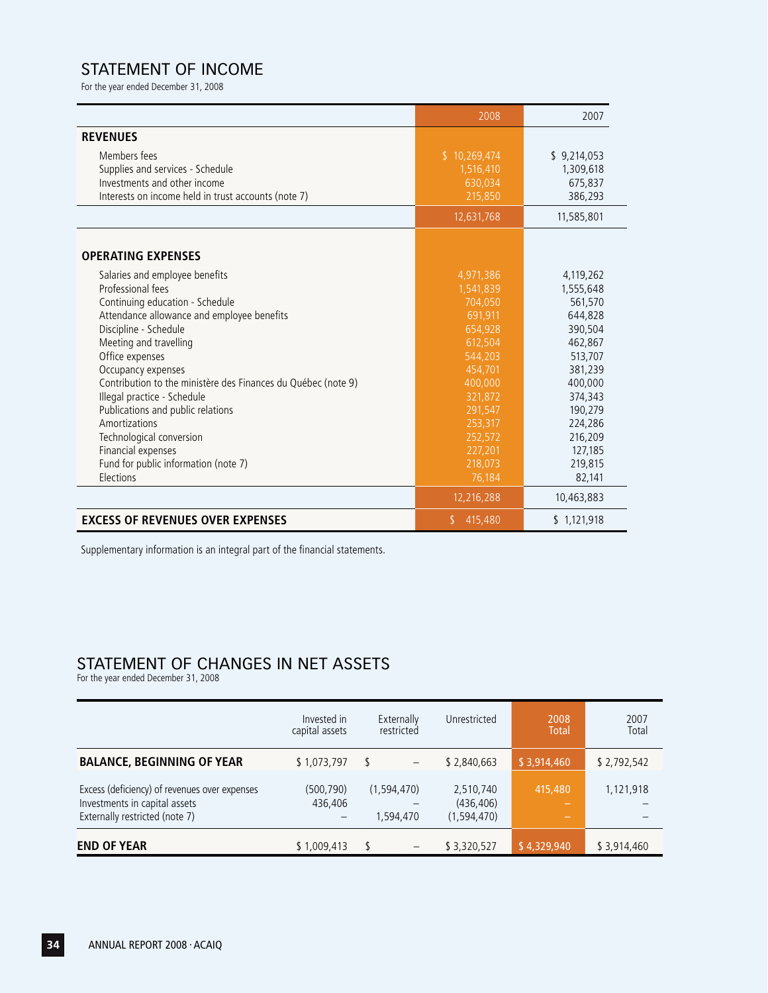# STATEMENT OF INCOME

For the year ended December 31, 2008

|                                                                                                                                                                                                                                                                                                                                                                                                                                                                                               | 2008                                                                                                                                                                            | 2007                                                                                                                                                                            |
|-----------------------------------------------------------------------------------------------------------------------------------------------------------------------------------------------------------------------------------------------------------------------------------------------------------------------------------------------------------------------------------------------------------------------------------------------------------------------------------------------|---------------------------------------------------------------------------------------------------------------------------------------------------------------------------------|---------------------------------------------------------------------------------------------------------------------------------------------------------------------------------|
| <b>REVENUES</b>                                                                                                                                                                                                                                                                                                                                                                                                                                                                               |                                                                                                                                                                                 |                                                                                                                                                                                 |
| Members fees<br>Supplies and services - Schedule<br>Investments and other income<br>Interests on income held in trust accounts (note 7)                                                                                                                                                                                                                                                                                                                                                       | \$10,269,474<br>1,516,410<br>630,034<br>215,850                                                                                                                                 | \$9,214,053<br>1,309,618<br>675,837<br>386,293                                                                                                                                  |
|                                                                                                                                                                                                                                                                                                                                                                                                                                                                                               | 12,631,768                                                                                                                                                                      | 11,585,801                                                                                                                                                                      |
|                                                                                                                                                                                                                                                                                                                                                                                                                                                                                               |                                                                                                                                                                                 |                                                                                                                                                                                 |
| <b>OPERATING EXPENSES</b>                                                                                                                                                                                                                                                                                                                                                                                                                                                                     |                                                                                                                                                                                 |                                                                                                                                                                                 |
| Salaries and employee benefits<br>Professional fees<br>Continuing education - Schedule<br>Attendance allowance and employee benefits<br>Discipline - Schedule<br>Meeting and travelling<br>Office expenses<br>Occupancy expenses<br>Contribution to the ministère des Finances du Québec (note 9)<br>Illegal practice - Schedule<br>Publications and public relations<br>Amortizations<br>Technological conversion<br>Financial expenses<br>Fund for public information (note 7)<br>Elections | 4,971,386<br>1,541,839<br>704,050<br>691,911<br>654,928<br>612,504<br>544,203<br>454,701<br>400,000<br>321,872<br>291,547<br>253,317<br>252,572<br>227,201<br>218,073<br>76,184 | 4,119,262<br>1,555,648<br>561,570<br>644,828<br>390.504<br>462,867<br>513,707<br>381,239<br>400,000<br>374,343<br>190,279<br>224,286<br>216,209<br>127,185<br>219,815<br>82,141 |
|                                                                                                                                                                                                                                                                                                                                                                                                                                                                                               | 12,216,288                                                                                                                                                                      | 10,463,883                                                                                                                                                                      |
| <b>EXCESS OF REVENUES OVER EXPENSES</b>                                                                                                                                                                                                                                                                                                                                                                                                                                                       | 415,480<br>\$                                                                                                                                                                   | \$1,121,918                                                                                                                                                                     |

Supplementary information is an integral part of the financial statements.

## STATEMENT OF CHANGES IN NET ASSETS

For the year ended December 31, 2008

|                                                                                                                  | Invested in<br>capital assets | Externally<br>restricted   | Unrestricted                           | 2008<br><b>Total</b> | 2007<br>Total |
|------------------------------------------------------------------------------------------------------------------|-------------------------------|----------------------------|----------------------------------------|----------------------|---------------|
| <b>BALANCE, BEGINNING OF YEAR</b>                                                                                | \$1,073,797                   | $\qquad \qquad -$          | \$2,840,663                            | \$3,914,460          | \$2,792,542   |
| Excess (deficiency) of revenues over expenses<br>Investments in capital assets<br>Externally restricted (note 7) | (500, 790)<br>436,406         | (1, 594, 470)<br>1,594,470 | 2,510,740<br>(436, 406)<br>(1,594,470) | 415,480              | 1,121,918     |
| <b>END OF YEAR</b>                                                                                               | \$1,009,413                   |                            | \$3,320,527                            | \$4,329,940          | \$3,914,460   |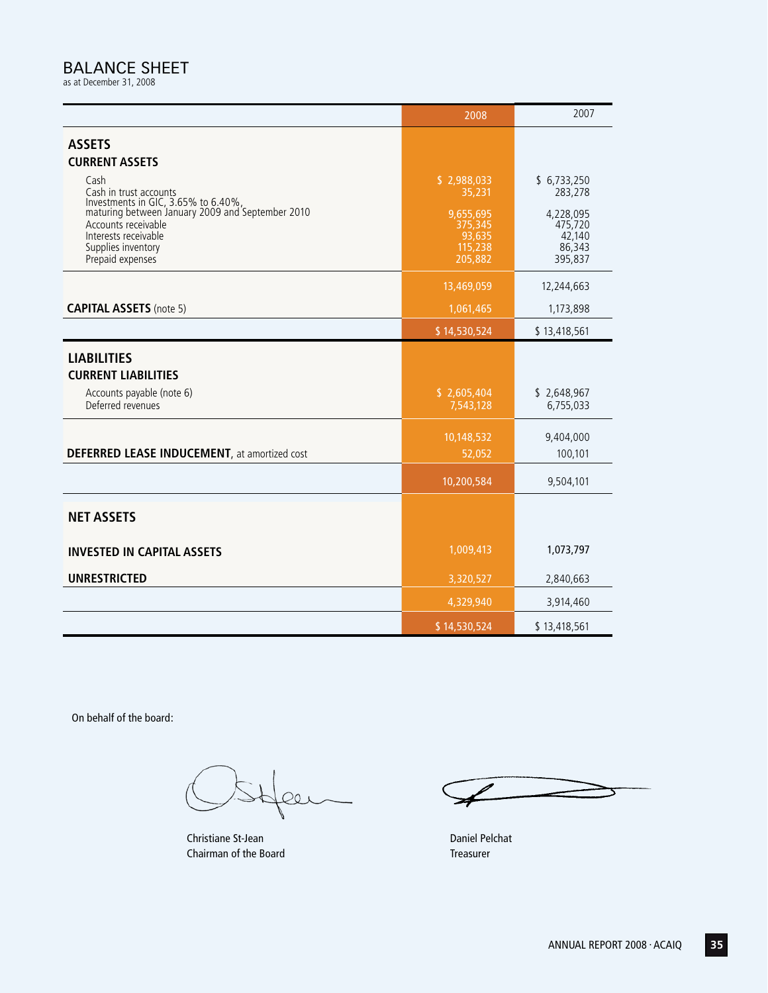## BALANCE SHEET

as at December 31, 2008

|                                                                                                                                                                                  | 2008                                                 | 2007                                                |
|----------------------------------------------------------------------------------------------------------------------------------------------------------------------------------|------------------------------------------------------|-----------------------------------------------------|
| <b>ASSETS</b>                                                                                                                                                                    |                                                      |                                                     |
| <b>CURRENT ASSETS</b>                                                                                                                                                            |                                                      |                                                     |
| Cash<br>Cash in trust accounts                                                                                                                                                   | \$2,988,033<br>35,231                                | \$6,733,250<br>283.278                              |
| Investments in GIC, 3.65% to 6.40%,<br>maturing between January 2009 and September 2010<br>Accounts receivable<br>Interests receivable<br>Supplies inventory<br>Prepaid expenses | 9,655,695<br>375,345<br>93,635<br>115,238<br>205,882 | 4,228,095<br>475,720<br>42,140<br>86,343<br>395,837 |
|                                                                                                                                                                                  | 13,469,059                                           | 12,244,663                                          |
| <b>CAPITAL ASSETS (note 5)</b>                                                                                                                                                   | 1,061,465                                            | 1,173,898                                           |
|                                                                                                                                                                                  | \$14,530,524                                         | \$13,418,561                                        |
| <b>LIABILITIES</b><br><b>CURRENT LIABILITIES</b>                                                                                                                                 |                                                      |                                                     |
| Accounts payable (note 6)<br>Deferred revenues                                                                                                                                   | \$2,605,404<br>7,543,128                             | \$2,648,967<br>6,755,033                            |
| <b>DEFERRED LEASE INDUCEMENT</b> , at amortized cost                                                                                                                             | 10,148,532<br>52,052                                 | 9,404,000<br>100,101                                |
|                                                                                                                                                                                  | 10,200,584                                           | 9,504,101                                           |
| <b>NET ASSETS</b>                                                                                                                                                                |                                                      |                                                     |
| <b>INVESTED IN CAPITAL ASSETS</b>                                                                                                                                                | 1,009,413                                            | 1,073,797                                           |
| <b>UNRESTRICTED</b>                                                                                                                                                              | 3,320,527                                            | 2,840,663                                           |
|                                                                                                                                                                                  | 4,329,940                                            | 3,914,460                                           |
|                                                                                                                                                                                  | \$14,530,524                                         | \$13,418,561                                        |

On behalf of the board:

 $\infty$ 

Christiane St-Jean **Daniel Pelchat** Chairman of the Board Treasurer

 $\mathcal{L}$ ᢌ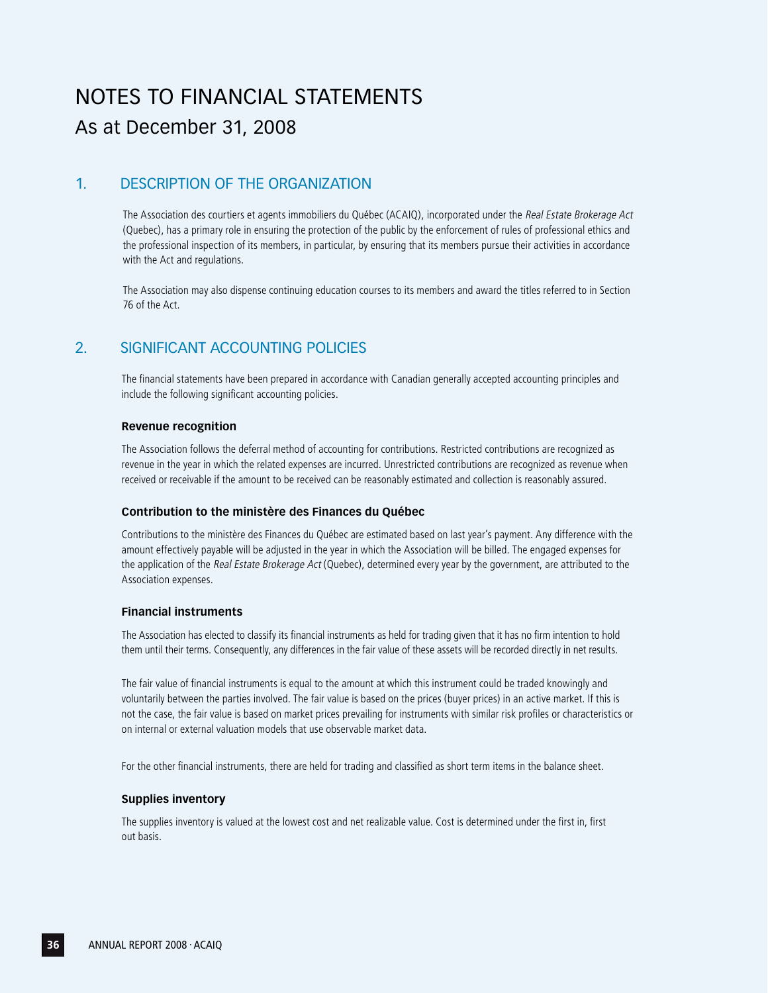# Notes TO FINANCIAL STATEMENTS As at December 31, 2008

## 1. DESCRIPTION OF THE ORGANIZATION

The Association des courtiers et agents immobiliers du Québec (ACAIQ), incorporated under the Real Estate Brokerage Act (Quebec), has a primary role in ensuring the protection of the public by the enforcement of rules of professional ethics and the professional inspection of its members, in particular, by ensuring that its members pursue their activities in accordance with the Act and regulations.

The Association may also dispense continuing education courses to its members and award the titles referred to in Section 76 of the Act.

## 2. SIGNIFICANT ACCOUNTING POLICIES

The financial statements have been prepared in accordance with Canadian generally accepted accounting principles and include the following significant accounting policies.

#### **Revenue recognition**

The Association follows the deferral method of accounting for contributions. Restricted contributions are recognized as revenue in the year in which the related expenses are incurred. Unrestricted contributions are recognized as revenue when received or receivable if the amount to be received can be reasonably estimated and collection is reasonably assured.

### **Contribution to the ministère des Finances du Québec**

Contributions to the ministère des Finances du Québec are estimated based on last year's payment. Any difference with the amount effectively payable will be adjusted in the year in which the Association will be billed. The engaged expenses for the application of the Real Estate Brokerage Act (Quebec), determined every year by the government, are attributed to the Association expenses.

### **Financial instruments**

The Association has elected to classify its financial instruments as held for trading given that it has no firm intention to hold them until their terms. Consequently, any differences in the fair value of these assets will be recorded directly in net results.

The fair value of financial instruments is equal to the amount at which this instrument could be traded knowingly and voluntarily between the parties involved. The fair value is based on the prices (buyer prices) in an active market. If this is not the case, the fair value is based on market prices prevailing for instruments with similar risk profiles or characteristics or on internal or external valuation models that use observable market data.

For the other financial instruments, there are held for trading and classified as short term items in the balance sheet.

### **Supplies inventory**

The supplies inventory is valued at the lowest cost and net realizable value. Cost is determined under the first in, first out basis.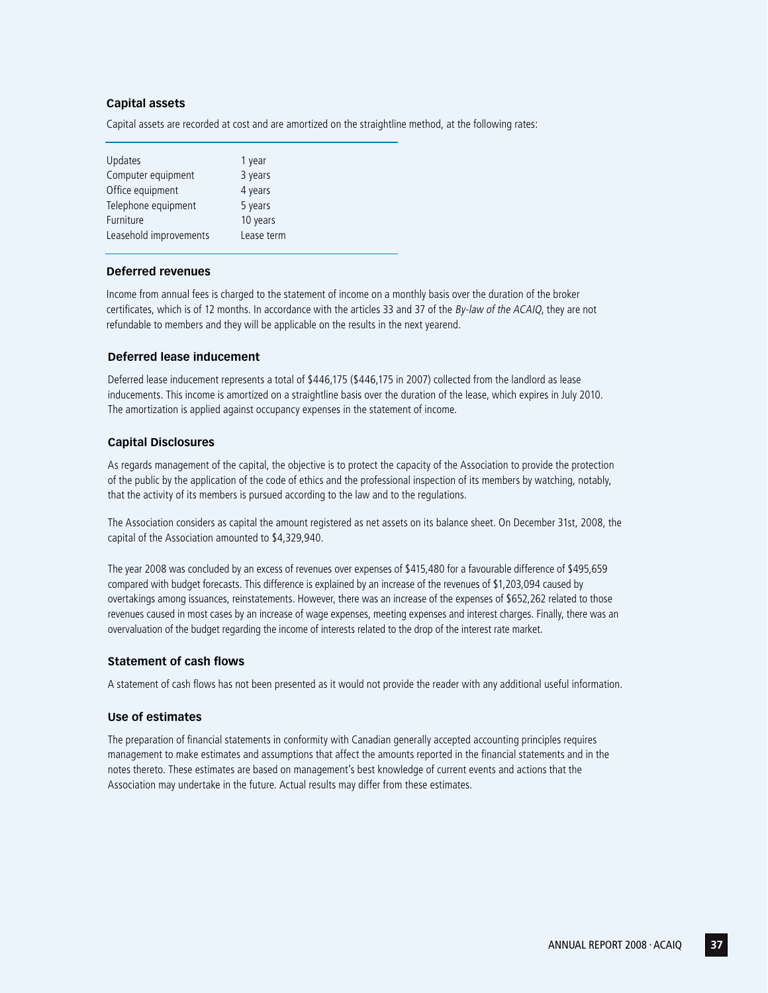#### **Capital assets**

Capital assets are recorded at cost and are amortized on the straightline method, at the following rates:

| Updates                | 1 year     |
|------------------------|------------|
| Computer equipment     | 3 years    |
| Office equipment       | 4 years    |
| Telephone equipment    | 5 years    |
| Furniture              | 10 years   |
| Leasehold improvements | Lease term |

#### **Deferred revenues**

Income from annual fees is charged to the statement of income on a monthly basis over the duration of the broker certificates, which is of 12 months. In accordance with the articles 33 and 37 of the By-law of the ACAIQ, they are not refundable to members and they will be applicable on the results in the next yearend.

#### **Deferred lease inducement**

Deferred lease inducement represents a total of \$446,175 (\$446,175 in 2007) collected from the landlord as lease inducements. This income is amortized on a straightline basis over the duration of the lease, which expires in July 2010. The amortization is applied against occupancy expenses in the statement of income.

#### **Capital Disclosures**

As regards management of the capital, the objective is to protect the capacity of the Association to provide the protection of the public by the application of the code of ethics and the professional inspection of its members by watching, notably, that the activity of its members is pursued according to the law and to the regulations.

The Association considers as capital the amount registered as net assets on its balance sheet. On December 31st, 2008, the capital of the Association amounted to \$4,329,940.

The year 2008 was concluded by an excess of revenues over expenses of \$415,480 for a favourable difference of \$495,659 compared with budget forecasts. This difference is explained by an increase of the revenues of \$1,203,094 caused by overtakings among issuances, reinstatements. However, there was an increase of the expenses of \$652,262 related to those revenues caused in most cases by an increase of wage expenses, meeting expenses and interest charges. Finally, there was an overvaluation of the budget regarding the income of interests related to the drop of the interest rate market.

#### **Statement of cash flows**

A statement of cash flows has not been presented as it would not provide the reader with any additional useful information.

#### **Use of estimates**

The preparation of financial statements in conformity with Canadian generally accepted accounting principles requires management to make estimates and assumptions that affect the amounts reported in the financial statements and in the notes thereto. These estimates are based on management's best knowledge of current events and actions that the Association may undertake in the future. Actual results may differ from these estimates.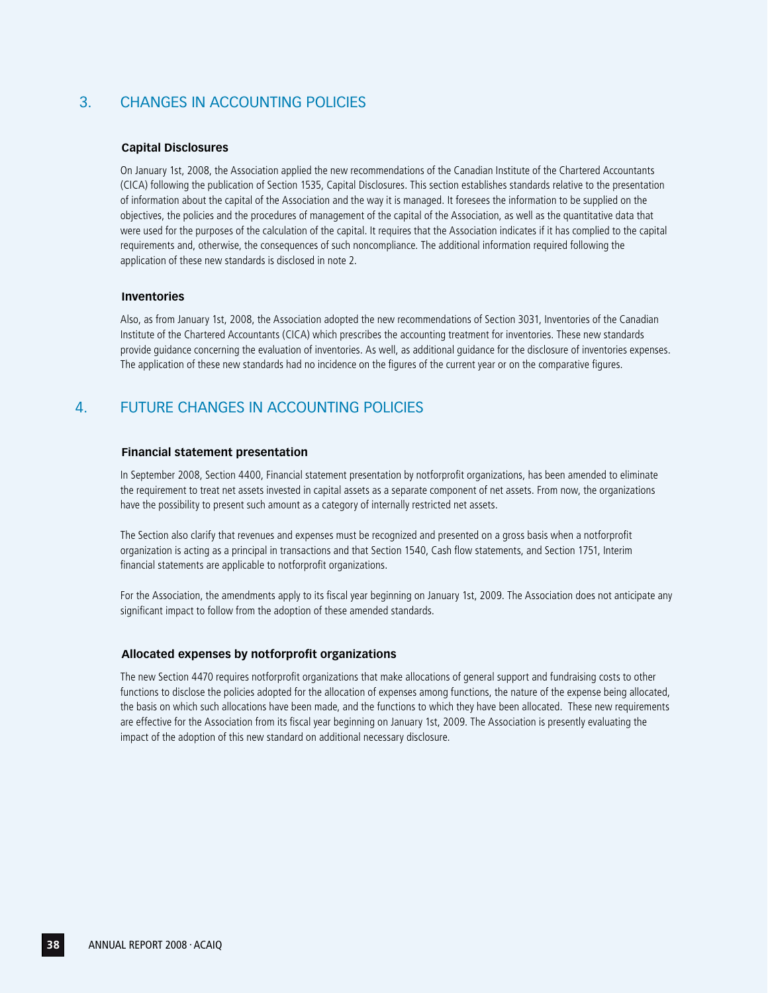## 3. CHANGES IN ACCOUNTING POLICIES

#### **Capital Disclosures**

On January 1st, 2008, the Association applied the new recommendations of the Canadian Institute of the Chartered Accountants (CICA) following the publication of Section 1535, Capital Disclosures. This section establishes standards relative to the presentation of information about the capital of the Association and the way it is managed. It foresees the information to be supplied on the objectives, the policies and the procedures of management of the capital of the Association, as well as the quantitative data that were used for the purposes of the calculation of the capital. It requires that the Association indicates if it has complied to the capital requirements and, otherwise, the consequences of such noncompliance. The additional information required following the application of these new standards is disclosed in note 2.

#### **Inventories**

Also, as from January 1st, 2008, the Association adopted the new recommendations of Section 3031, Inventories of the Canadian Institute of the Chartered Accountants (CICA) which prescribes the accounting treatment for inventories. These new standards provide guidance concerning the evaluation of inventories. As well, as additional guidance for the disclosure of inventories expenses. The application of these new standards had no incidence on the figures of the current year or on the comparative figures.

## 4. FUTURE CHANGES IN ACCOUNTING POLICIES

#### **Financial statement presentation**

In September 2008, Section 4400, Financial statement presentation by notforprofit organizations, has been amended to eliminate the requirement to treat net assets invested in capital assets as a separate component of net assets. From now, the organizations have the possibility to present such amount as a category of internally restricted net assets.

The Section also clarify that revenues and expenses must be recognized and presented on a gross basis when a notforprofit organization is acting as a principal in transactions and that Section 1540, Cash flow statements, and Section 1751, Interim financial statements are applicable to notforprofit organizations.

For the Association, the amendments apply to its fiscal year beginning on January 1st, 2009. The Association does not anticipate any significant impact to follow from the adoption of these amended standards.

#### **Allocated expenses by notforprofit organizations**

The new Section 4470 requires notforprofit organizations that make allocations of general support and fundraising costs to other functions to disclose the policies adopted for the allocation of expenses among functions, the nature of the expense being allocated, the basis on which such allocations have been made, and the functions to which they have been allocated. These new requirements are effective for the Association from its fiscal year beginning on January 1st, 2009. The Association is presently evaluating the impact of the adoption of this new standard on additional necessary disclosure.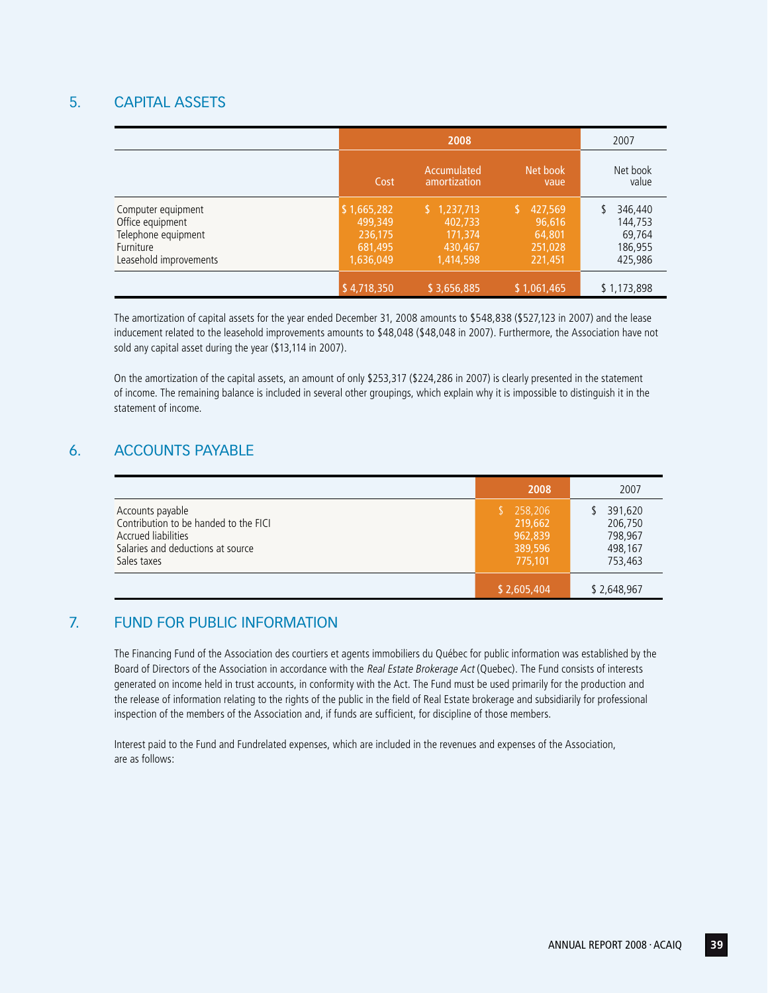# 5. CAPITAL ASSETS

|                                                                                                      |                                                           | 2008                                                    |                                                   | 2007                                               |
|------------------------------------------------------------------------------------------------------|-----------------------------------------------------------|---------------------------------------------------------|---------------------------------------------------|----------------------------------------------------|
|                                                                                                      | Cost                                                      | Accumulated<br>amortization                             | Net book<br>vaue                                  | Net book<br>value                                  |
| Computer equipment<br>Office equipment<br>Telephone equipment<br>Furniture<br>Leasehold improvements | \$1,665,282<br>499,349<br>236,175<br>681,495<br>1,636,049 | 1,237,713<br>402.733<br>171,374<br>430,467<br>1,414,598 | 427,569<br>96,616<br>64,801<br>251,028<br>221,451 | 346,440<br>144,753<br>69,764<br>186,955<br>425,986 |
|                                                                                                      | \$4,718,350                                               | \$3,656,885                                             | \$1,061,465                                       | \$1,173,898                                        |

The amortization of capital assets for the year ended December 31, 2008 amounts to \$548,838 (\$527,123 in 2007) and the lease inducement related to the leasehold improvements amounts to \$48,048 (\$48,048 in 2007). Furthermore, the Association have not sold any capital asset during the year (\$13,114 in 2007).

On the amortization of the capital assets, an amount of only \$253,317 (\$224,286 in 2007) is clearly presented in the statement of income. The remaining balance is included in several other groupings, which explain why it is impossible to distinguish it in the statement of income.

### 6. ACCOUNTS PAYABLE

|                                                                                                                                      | 2008                                                | 2007                                                |
|--------------------------------------------------------------------------------------------------------------------------------------|-----------------------------------------------------|-----------------------------------------------------|
| Accounts payable<br>Contribution to be handed to the FICI<br>Accrued liabilities<br>Salaries and deductions at source<br>Sales taxes | 258,206<br>219,662<br>962,839<br>389,596<br>775.101 | 391,620<br>206,750<br>798,967<br>498,167<br>753,463 |
|                                                                                                                                      | \$2,605,404                                         | \$2,648,967                                         |

### 7. FUND FOR PUBLIC INFORMATION

The Financing Fund of the Association des courtiers et agents immobiliers du Québec for public information was established by the Board of Directors of the Association in accordance with the Real Estate Brokerage Act (Quebec). The Fund consists of interests generated on income held in trust accounts, in conformity with the Act. The Fund must be used primarily for the production and the release of information relating to the rights of the public in the field of Real Estate brokerage and subsidiarily for professional inspection of the members of the Association and, if funds are sufficient, for discipline of those members.

Interest paid to the Fund and Fundrelated expenses, which are included in the revenues and expenses of the Association, are as follows: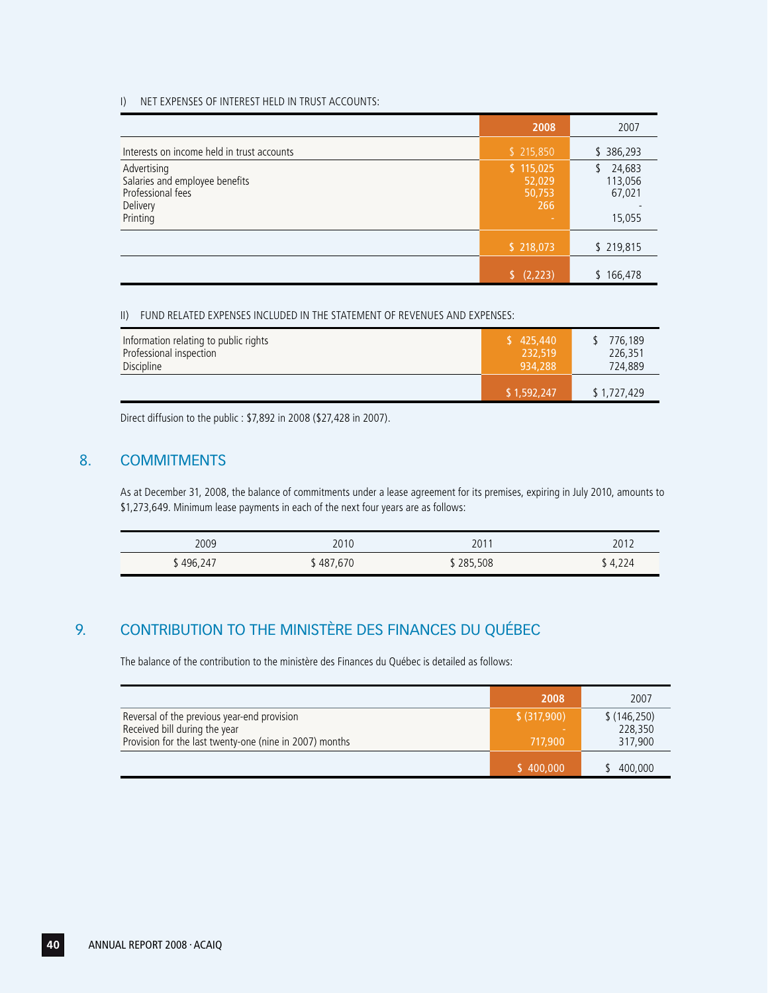#### i) Net expenses of interest held in trust accounts:

|                                                                                            | 2008                                 | 2007                                        |
|--------------------------------------------------------------------------------------------|--------------------------------------|---------------------------------------------|
| Interests on income held in trust accounts                                                 | \$215,850                            | \$386,293                                   |
| Advertising<br>Salaries and employee benefits<br>Professional fees<br>Delivery<br>Printing | \$115,025<br>52,029<br>50,753<br>266 | 24,683<br>\$<br>113,056<br>67,021<br>15,055 |
|                                                                                            | \$218,073                            | \$219,815                                   |
|                                                                                            | (2,223)                              | \$166,478                                   |

#### ii) Fund related expenses included in the statement of revenues and expenses:

| Information relating to public rights | \$425,440   | 776.189     |
|---------------------------------------|-------------|-------------|
| Professional inspection               | 232,519     | 226,351     |
| Discipline                            | 934,288     | 724.889     |
|                                       | \$1,592,247 | \$1,727,429 |

Direct diffusion to the public : \$7,892 in 2008 (\$27,428 in 2007).

### 8. COMMITMENTS

As at December 31, 2008, the balance of commitments under a lease agreement for its premises, expiring in July 2010, amounts to \$1,273,649. Minimum lease payments in each of the next four years are as follows:

| 2009    | 2010    | 2011    | 2012              |
|---------|---------|---------|-------------------|
| 496,247 | 487,670 | 285,508 | 4,224<br>$\Delta$ |

# 9. CONTRIBUTION TO THE MINISTÈRE DES FINANCES DU QUÉBEC

The balance of the contribution to the ministère des Finances du Québec is detailed as follows:

|                                                         | 2008          | 2007         |
|---------------------------------------------------------|---------------|--------------|
| Reversal of the previous year-end provision             | $$$ (317,900) | \$(146, 250) |
| Received bill during the year                           |               | 228,350      |
| Provision for the last twenty-one (nine in 2007) months | 717.900       | 317,900      |
|                                                         | \$400,000     | 400,000      |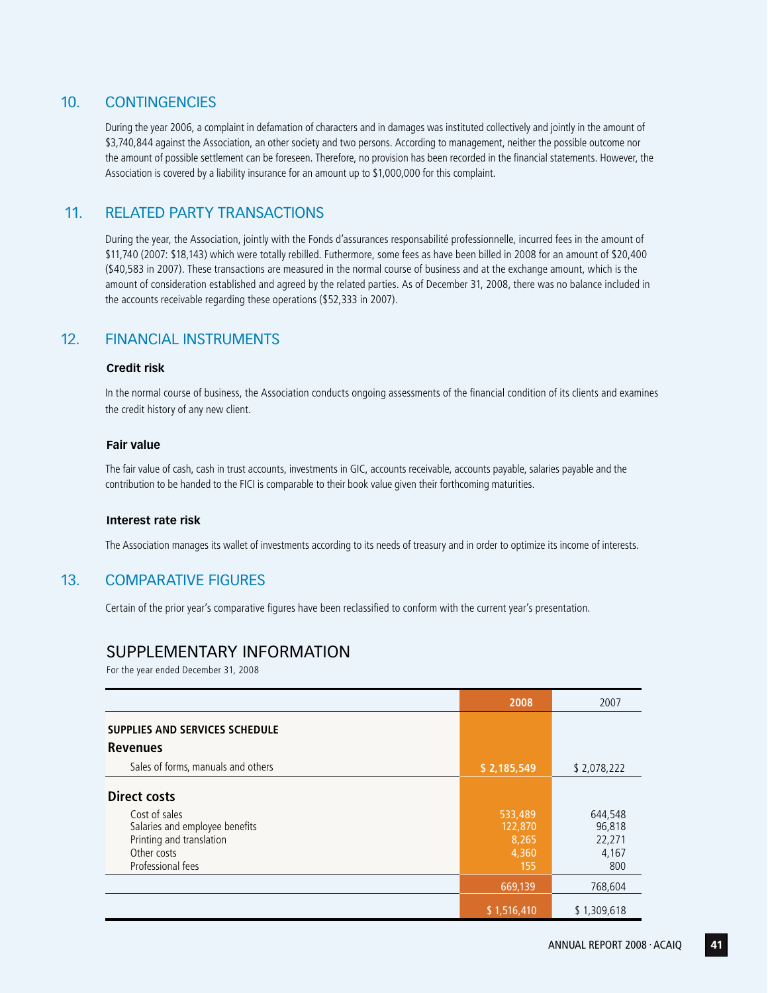### 10. CONTINGENCIES

During the year 2006, a complaint in defamation of characters and in damages was instituted collectively and jointly in the amount of \$3,740,844 against the Association, an other society and two persons. According to management, neither the possible outcome nor the amount of possible settlement can be foreseen. Therefore, no provision has been recorded in the financial statements. However, the Association is covered by a liability insurance for an amount up to \$1,000,000 for this complaint.

### 11. RELATED PARTY TRANSACTIONS

During the year, the Association, jointly with the Fonds d'assurances responsabilité professionnelle, incurred fees in the amount of \$11,740 (2007: \$18,143) which were totally rebilled. Futhermore, some fees as have been billed in 2008 for an amount of \$20,400 (\$40,583 in 2007). These transactions are measured in the normal course of business and at the exchange amount, which is the amount of consideration established and agreed by the related parties. As of December 31, 2008, there was no balance included in the accounts receivable regarding these operations (\$52,333 in 2007).

### 12. FINANCIAL INSTRUMENTS

#### **Credit risk**

In the normal course of business, the Association conducts ongoing assessments of the financial condition of its clients and examines the credit history of any new client.

#### **Fair value**

The fair value of cash, cash in trust accounts, investments in GIC, accounts receivable, accounts payable, salaries payable and the contribution to be handed to the FICI is comparable to their book value given their forthcoming maturities.

#### **Interest rate risk**

The Association manages its wallet of investments according to its needs of treasury and in order to optimize its income of interests.

### 13. COMPARATIVE FIGURES

Certain of the prior year's comparative figures have been reclassified to conform with the current year's presentation.

### SUPPLEMENTARY INFORMATION

For the year ended December 31, 2008

|                                                                                                                                        | 2008                                        | 2007                                        |
|----------------------------------------------------------------------------------------------------------------------------------------|---------------------------------------------|---------------------------------------------|
| SUPPLIES AND SERVICES SCHEDULE                                                                                                         |                                             |                                             |
| <b>Revenues</b>                                                                                                                        |                                             |                                             |
| Sales of forms, manuals and others                                                                                                     | \$2,185,549                                 | \$2,078,222                                 |
| <b>Direct costs</b><br>Cost of sales<br>Salaries and employee benefits<br>Printing and translation<br>Other costs<br>Professional fees | 533,489<br>122,870<br>8,265<br>4,360<br>155 | 644,548<br>96,818<br>22,271<br>4,167<br>800 |
|                                                                                                                                        | 669,139                                     | 768,604                                     |
|                                                                                                                                        | \$1,516,410                                 | \$1,309,618                                 |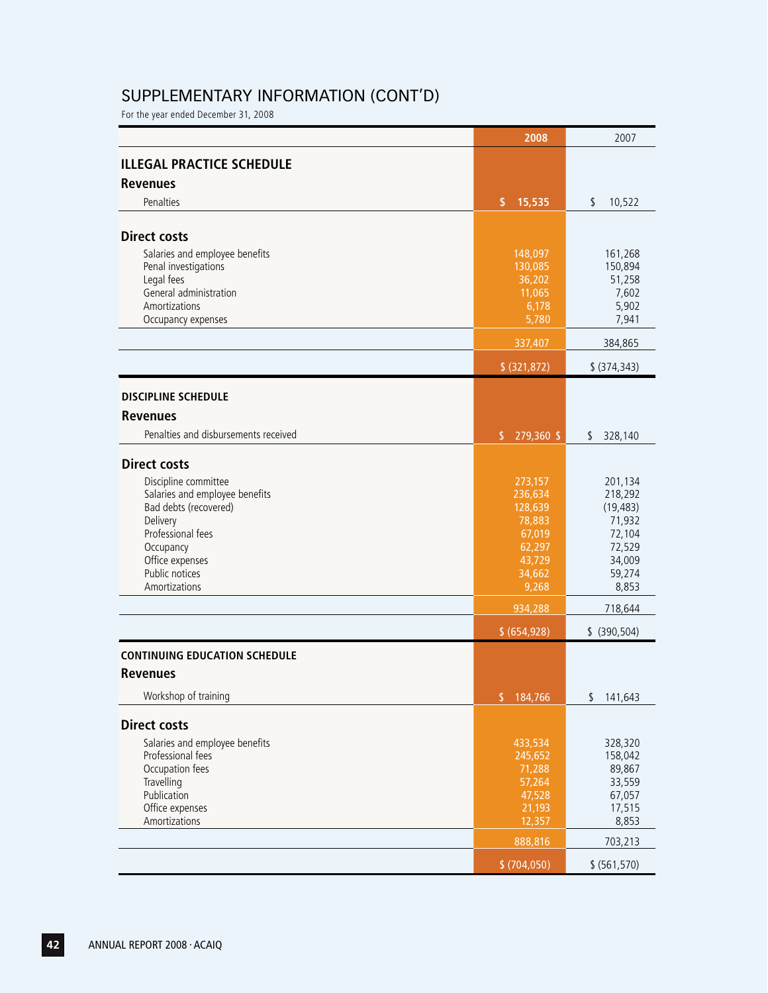# SUPPLEMENTARY INFORMATION (CONT'D)

For the year ended December 31, 2008

|                                                                                                                                                                                                            | 2008                                                                                                | 2007                                                                                                  |
|------------------------------------------------------------------------------------------------------------------------------------------------------------------------------------------------------------|-----------------------------------------------------------------------------------------------------|-------------------------------------------------------------------------------------------------------|
| <b>ILLEGAL PRACTICE SCHEDULE</b><br><b>Revenues</b>                                                                                                                                                        |                                                                                                     |                                                                                                       |
| Penalties                                                                                                                                                                                                  | \$<br>15,535                                                                                        | \$<br>10,522                                                                                          |
| <b>Direct costs</b><br>Salaries and employee benefits<br>Penal investigations<br>Legal fees<br>General administration<br>Amortizations                                                                     | 148,097<br>130,085<br>36,202<br>11,065<br>6,178                                                     | 161,268<br>150,894<br>51,258<br>7,602<br>5,902                                                        |
| Occupancy expenses                                                                                                                                                                                         | 5,780                                                                                               | 7,941                                                                                                 |
|                                                                                                                                                                                                            | 337,407                                                                                             | 384,865                                                                                               |
|                                                                                                                                                                                                            | \$ (321, 872)                                                                                       | \$ (374, 343)                                                                                         |
| <b>DISCIPLINE SCHEDULE</b><br><b>Revenues</b>                                                                                                                                                              |                                                                                                     |                                                                                                       |
| Penalties and disbursements received                                                                                                                                                                       | 279,360 \$<br>s.                                                                                    | \$<br>328,140                                                                                         |
| <b>Direct costs</b><br>Discipline committee<br>Salaries and employee benefits<br>Bad debts (recovered)<br>Delivery<br>Professional fees<br>Occupancy<br>Office expenses<br>Public notices<br>Amortizations | 273,157<br>236,634<br>128,639<br>78,883<br>67,019<br>62,297<br>43,729<br>34,662<br>9,268<br>934,288 | 201,134<br>218,292<br>(19, 483)<br>71,932<br>72,104<br>72,529<br>34,009<br>59,274<br>8,853<br>718,644 |
|                                                                                                                                                                                                            | \$ (654, 928)                                                                                       | $$$ (390,504)                                                                                         |
| <b>CONTINUING EDUCATION SCHEDULE</b><br><b>Revenues</b><br>Workshop of training                                                                                                                            | \$<br>184,766                                                                                       | \$<br>141,643                                                                                         |
| <b>Direct costs</b><br>Salaries and employee benefits<br>Professional fees<br>Occupation fees<br>Travelling<br>Publication<br>Office expenses<br>Amortizations                                             | 433,534<br>245,652<br>71,288<br>57,264<br>47,528<br>21,193<br>12,357<br>888,816                     | 328,320<br>158,042<br>89,867<br>33,559<br>67,057<br>17,515<br>8,853<br>703,213                        |
|                                                                                                                                                                                                            |                                                                                                     |                                                                                                       |
|                                                                                                                                                                                                            | \$(704,050)                                                                                         | \$ (561, 570)                                                                                         |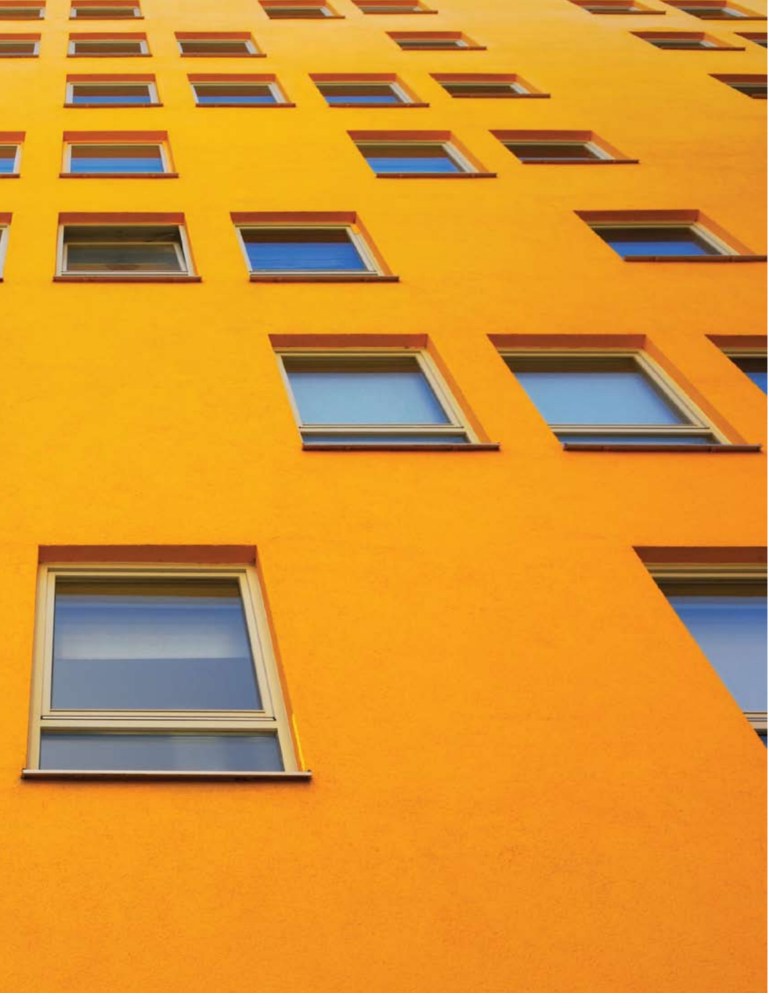